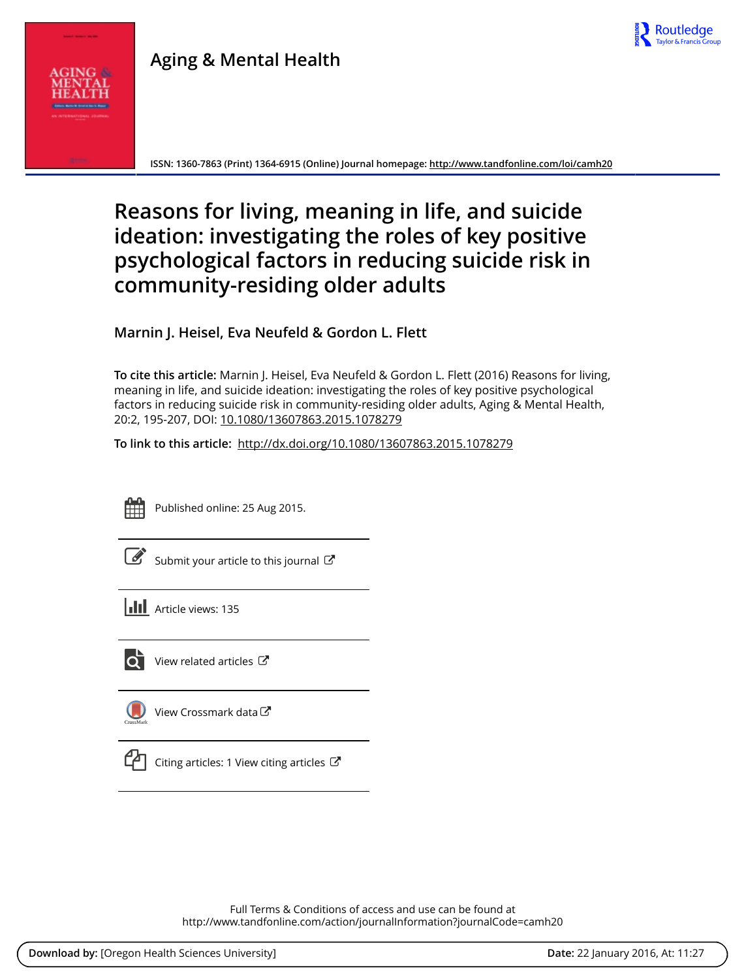

# **Aging & Mental Health**



**ISSN: 1360-7863 (Print) 1364-6915 (Online) Journal homepage:<http://www.tandfonline.com/loi/camh20>**

# **Reasons for living, meaning in life, and suicide ideation: investigating the roles of key positive psychological factors in reducing suicide risk in community-residing older adults**

**Marnin J. Heisel, Eva Neufeld & Gordon L. Flett**

**To cite this article:** Marnin J. Heisel, Eva Neufeld & Gordon L. Flett (2016) Reasons for living, meaning in life, and suicide ideation: investigating the roles of key positive psychological factors in reducing suicide risk in community-residing older adults, Aging & Mental Health, 20:2, 195-207, DOI: [10.1080/13607863.2015.1078279](http://www.tandfonline.com/action/showCitFormats?doi=10.1080/13607863.2015.1078279)

**To link to this article:** <http://dx.doi.org/10.1080/13607863.2015.1078279>



Published online: 25 Aug 2015.

|--|

[Submit your article to this journal](http://www.tandfonline.com/action/authorSubmission?journalCode=camh20&page=instructions)  $\mathbb{Z}$ 

**III** Article views: 135



 $\overrightarrow{Q}$  [View related articles](http://www.tandfonline.com/doi/mlt/10.1080/13607863.2015.1078279)  $\overrightarrow{C}$ 



[View Crossmark data](http://crossmark.crossref.org/dialog/?doi=10.1080/13607863.2015.1078279&domain=pdf&date_stamp=2015-08-25)



[Citing articles: 1 View citing articles](http://www.tandfonline.com/doi/citedby/10.1080/13607863.2015.1078279#tabModule)  $\mathbb{Z}$ 

Full Terms & Conditions of access and use can be found at <http://www.tandfonline.com/action/journalInformation?journalCode=camh20>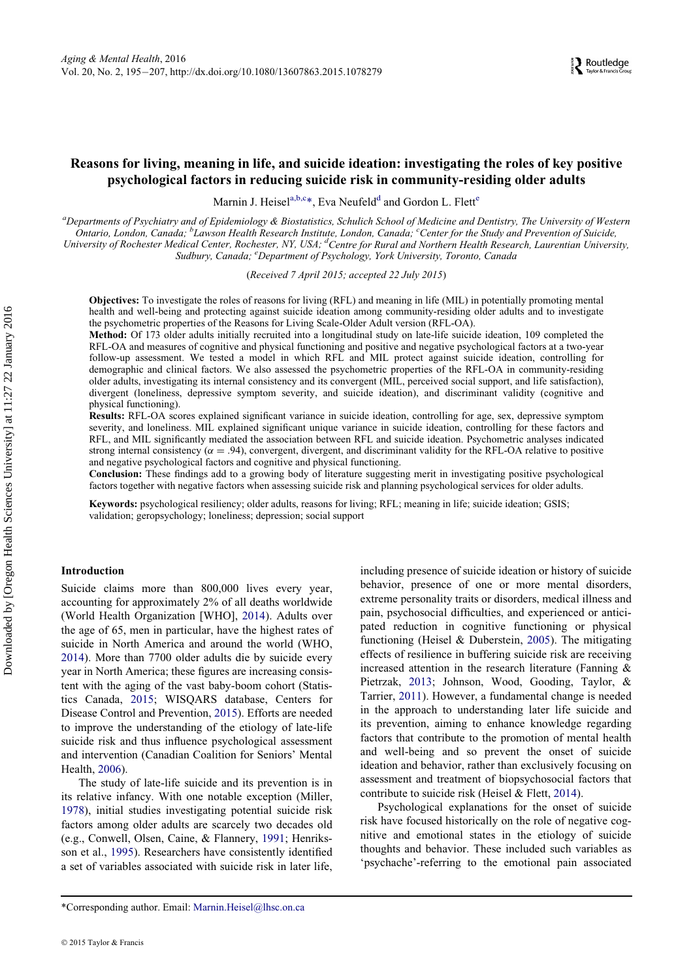# Reasons for living, meaning in life, and suicide ideation: investigating the roles of key positive psychological factors in reducing suicide risk in community-residing older adults

M[a](#page-1-0)rnin J. Heisel<sup>a[,b,c](#page-1-1)[\\*](#page-1-2)</sup>, Eva Neufel[d](#page-1-3)<sup>d</sup> and Gordon L. Fl[e](#page-1-4)tt<sup>e</sup>

<span id="page-1-4"></span><span id="page-1-3"></span><span id="page-1-1"></span><span id="page-1-0"></span>a<br>Departments of Psychiatry and of Epidemiology & Biostatistics, Schulich School of Medicine and Dentistry, The University of Western Ontario, London, Canada; <sup>b</sup>Lawson Health Research Institute, London, Canada, <sup>c</sup>Center for the Study and Prevention of Suicide, University of Rochester Medical Center, Rochester, NY, USA; <sup>d</sup>Centre for Rural and Northern Health Research, Laurentian University, Sudbury, Canada; <sup>e</sup>Department of Psychology, York University, Toronto, Canada

(Received 7 April 2015; accepted 22 July 2015)

Objectives: To investigate the roles of reasons for living (RFL) and meaning in life (MIL) in potentially promoting mental health and well-being and protecting against suicide ideation among community-residing older adults and to investigate the psychometric properties of the Reasons for Living Scale-Older Adult version (RFL-OA).

Method: Of 173 older adults initially recruited into a longitudinal study on late-life suicide ideation, 109 completed the RFL-OA and measures of cognitive and physical functioning and positive and negative psychological factors at a two-year follow-up assessment. We tested a model in which RFL and MIL protect against suicide ideation, controlling for demographic and clinical factors. We also assessed the psychometric properties of the RFL-OA in community-residing older adults, investigating its internal consistency and its convergent (MIL, perceived social support, and life satisfaction), divergent (loneliness, depressive symptom severity, and suicide ideation), and discriminant validity (cognitive and physical functioning).

Results: RFL-OA scores explained significant variance in suicide ideation, controlling for age, sex, depressive symptom severity, and loneliness. MIL explained significant unique variance in suicide ideation, controlling for these factors and RFL, and MIL significantly mediated the association between RFL and suicide ideation. Psychometric analyses indicated strong internal consistency ( $\alpha = .94$ ), convergent, divergent, and discriminant validity for the RFL-OA relative to positive and negative psychological factors and cognitive and physical functioning.

Conclusion: These findings add to a growing body of literature suggesting merit in investigating positive psychological factors together with negative factors when assessing suicide risk and planning psychological services for older adults.

Keywords: psychological resiliency; older adults, reasons for living; RFL; meaning in life; suicide ideation; GSIS; validation; geropsychology; loneliness; depression; social support

# Introduction

Suicide claims more than 800,000 lives every year, accounting for approximately 2% of all deaths worldwide (World Health Organization [WHO], [2014](#page-13-0)). Adults over the age of 65, men in particular, have the highest rates of suicide in North America and around the world (WHO, [2014\)](#page-13-0). More than 7700 older adults die by suicide every year in North America; these figures are increasing consistent with the aging of the vast baby-boom cohort (Statistics Canada, [2015](#page-13-1); WISQARS database, Centers for Disease Control and Prevention, [2015](#page-11-0)). Efforts are needed to improve the understanding of the etiology of late-life suicide risk and thus influence psychological assessment and intervention (Canadian Coalition for Seniors' Mental Health, [2006](#page-11-1)).

The study of late-life suicide and its prevention is in its relative infancy. With one notable exception (Miller, [1978\)](#page-12-0), initial studies investigating potential suicide risk factors among older adults are scarcely two decades old (e.g., Conwell, Olsen, Caine, & Flannery, [1991;](#page-11-2) Henriksson et al., [1995\)](#page-12-1). Researchers have consistently identified a set of variables associated with suicide risk in later life,

including presence of suicide ideation or history of suicide behavior, presence of one or more mental disorders, extreme personality traits or disorders, medical illness and pain, psychosocial difficulties, and experienced or anticipated reduction in cognitive functioning or physical functioning (Heisel & Duberstein, [2005\)](#page-11-3). The mitigating effects of resilience in buffering suicide risk are receiving increased attention in the research literature (Fanning  $\&$ Pietrzak, [2013](#page-11-4); Johnson, Wood, Gooding, Taylor, & Tarrier, [2011\)](#page-12-2). However, a fundamental change is needed in the approach to understanding later life suicide and its prevention, aiming to enhance knowledge regarding factors that contribute to the promotion of mental health and well-being and so prevent the onset of suicide ideation and behavior, rather than exclusively focusing on assessment and treatment of biopsychosocial factors that contribute to suicide risk (Heisel & Flett, [2014\)](#page-11-5).

Psychological explanations for the onset of suicide risk have focused historically on the role of negative cognitive and emotional states in the etiology of suicide thoughts and behavior. These included such variables as 'psychache'-referring to the emotional pain associated

<span id="page-1-2"></span><sup>\*</sup>Corresponding author. Email: [Marnin.Heisel@lhsc.on.ca](mailto:Marnin.Heisel@lhsc.on.ca)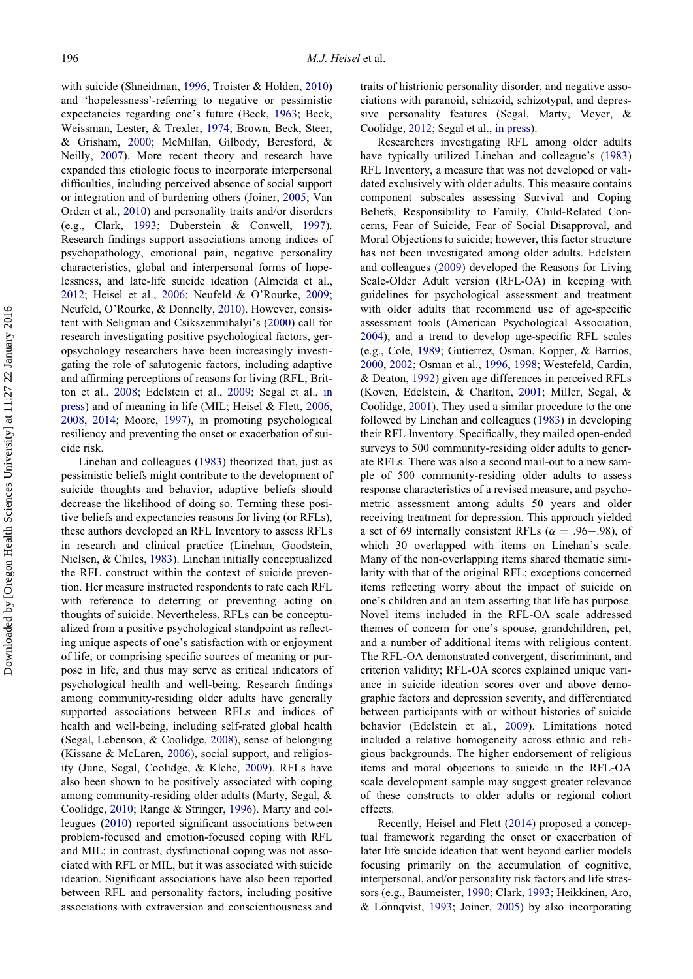with suicide (Shneidman, [1996;](#page-13-2) Troister & Holden, [2010](#page-13-3)) and 'hopelessness'-referring to negative or pessimistic expectancies regarding one's future (Beck, [1963;](#page-11-6) Beck, Weissman, Lester, & Trexler, [1974](#page-11-7); Brown, Beck, Steer, & Grisham, [2000;](#page-11-8) McMillan, Gilbody, Beresford, & Neilly, [2007\)](#page-12-3). More recent theory and research have expanded this etiologic focus to incorporate interpersonal difficulties, including perceived absence of social support or integration and of burdening others (Joiner, [2005](#page-12-4); Van Orden et al., [2010](#page-13-4)) and personality traits and/or disorders (e.g., Clark, [1993;](#page-11-9) Duberstein & Conwell, [1997\)](#page-11-10). Research findings support associations among indices of psychopathology, emotional pain, negative personality characteristics, global and interpersonal forms of hopelessness, and late-life suicide ideation (Almeida et al., [2012;](#page-10-0) Heisel et al., [2006](#page-11-11); Neufeld & O'Rourke, [2009;](#page-12-5) Neufeld, O'Rourke, & Donnelly, [2010](#page-12-6)). However, consistent with Seligman and Csikszenmihalyi's [\(2000](#page-13-5)) call for research investigating positive psychological factors, geropsychology researchers have been increasingly investigating the role of salutogenic factors, including adaptive and affirming perceptions of reasons for living (RFL; Britton et al., [2008](#page-11-12); Edelstein et al., [2009;](#page-11-13) Segal et al., [in](#page-12-7) [press](#page-12-7)) and of meaning in life (MIL; Heisel & Flett, [2006](#page-11-14), [2008,](#page-11-15) [2014;](#page-11-5) Moore, [1997\)](#page-12-8), in promoting psychological resiliency and preventing the onset or exacerbation of suicide risk.

Linehan and colleagues ([1983\)](#page-12-9) theorized that, just as pessimistic beliefs might contribute to the development of suicide thoughts and behavior, adaptive beliefs should decrease the likelihood of doing so. Terming these positive beliefs and expectancies reasons for living (or RFLs), these authors developed an RFL Inventory to assess RFLs in research and clinical practice (Linehan, Goodstein, Nielsen, & Chiles, [1983](#page-12-9)). Linehan initially conceptualized the RFL construct within the context of suicide prevention. Her measure instructed respondents to rate each RFL with reference to deterring or preventing acting on thoughts of suicide. Nevertheless, RFLs can be conceptualized from a positive psychological standpoint as reflecting unique aspects of one's satisfaction with or enjoyment of life, or comprising specific sources of meaning or purpose in life, and thus may serve as critical indicators of psychological health and well-being. Research findings among community-residing older adults have generally supported associations between RFLs and indices of health and well-being, including self-rated global health (Segal, Lebenson, & Coolidge, [2008\)](#page-12-10), sense of belonging (Kissane & McLaren, [2006\)](#page-12-11), social support, and religiosity (June, Segal, Coolidge, & Klebe, [2009](#page-12-12)). RFLs have also been shown to be positively associated with coping among community-residing older adults (Marty, Segal, & Coolidge, [2010;](#page-12-13) Range & Stringer, [1996\)](#page-12-14). Marty and colleagues ([2010\)](#page-12-13) reported significant associations between problem-focused and emotion-focused coping with RFL and MIL; in contrast, dysfunctional coping was not associated with RFL or MIL, but it was associated with suicide ideation. Significant associations have also been reported between RFL and personality factors, including positive associations with extraversion and conscientiousness and

traits of histrionic personality disorder, and negative associations with paranoid, schizoid, schizotypal, and depressive personality features (Segal, Marty, Meyer, & Coolidge, [2012](#page-12-15); Segal et al., [in press\)](#page-12-7).

Researchers investigating RFL among older adults have typically utilized Linehan and colleague's [\(1983](#page-12-9)) RFL Inventory, a measure that was not developed or validated exclusively with older adults. This measure contains component subscales assessing Survival and Coping Beliefs, Responsibility to Family, Child-Related Concerns, Fear of Suicide, Fear of Social Disapproval, and Moral Objections to suicide; however, this factor structure has not been investigated among older adults. Edelstein and colleagues ([2009\)](#page-11-13) developed the Reasons for Living Scale-Older Adult version (RFL-OA) in keeping with guidelines for psychological assessment and treatment with older adults that recommend use of age-specific assessment tools (American Psychological Association, [2004\)](#page-11-16), and a trend to develop age-specific RFL scales (e.g., Cole, [1989](#page-11-17); Gutierrez, Osman, Kopper, & Barrios, [2000,](#page-11-18) [2002;](#page-11-19) Osman et al., [1996](#page-12-16), [1998;](#page-12-17) Westefeld, Cardin, & Deaton, [1992](#page-13-6)) given age differences in perceived RFLs (Koven, Edelstein, & Charlton, [2001;](#page-12-18) Miller, Segal, & Coolidge, [2001](#page-12-19)). They used a similar procedure to the one followed by Linehan and colleagues ([1983\)](#page-12-9) in developing their RFL Inventory. Specifically, they mailed open-ended surveys to 500 community-residing older adults to generate RFLs. There was also a second mail-out to a new sample of 500 community-residing older adults to assess response characteristics of a revised measure, and psychometric assessment among adults 50 years and older receiving treatment for depression. This approach yielded a set of 69 internally consistent RFLs ( $\alpha = .96-.98$ ), of which 30 overlapped with items on Linehan's scale. Many of the non-overlapping items shared thematic similarity with that of the original RFL; exceptions concerned items reflecting worry about the impact of suicide on one's children and an item asserting that life has purpose. Novel items included in the RFL-OA scale addressed themes of concern for one's spouse, grandchildren, pet, and a number of additional items with religious content. The RFL-OA demonstrated convergent, discriminant, and criterion validity; RFL-OA scores explained unique variance in suicide ideation scores over and above demographic factors and depression severity, and differentiated between participants with or without histories of suicide behavior (Edelstein et al., [2009\)](#page-11-13). Limitations noted included a relative homogeneity across ethnic and religious backgrounds. The higher endorsement of religious items and moral objections to suicide in the RFL-OA scale development sample may suggest greater relevance of these constructs to older adults or regional cohort effects.

Recently, Heisel and Flett [\(2014](#page-11-5)) proposed a conceptual framework regarding the onset or exacerbation of later life suicide ideation that went beyond earlier models focusing primarily on the accumulation of cognitive, interpersonal, and/or personality risk factors and life stressors (e.g., Baumeister, [1990;](#page-11-20) Clark, [1993](#page-11-9); Heikkinen, Aro,  $& Lönnqvist, 1993; Joiner, 2005) by also incorporating$  $& Lönnqvist, 1993; Joiner, 2005) by also incorporating$  $& Lönnqvist, 1993; Joiner, 2005) by also incorporating$  $& Lönnqvist, 1993; Joiner, 2005) by also incorporating$  $& Lönnqvist, 1993; Joiner, 2005) by also incorporating$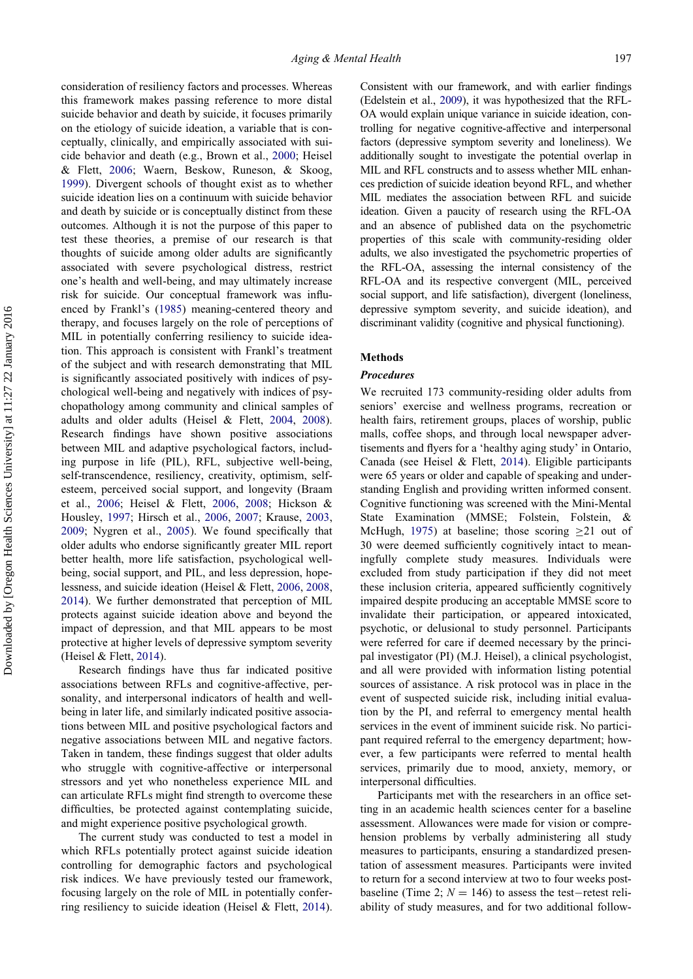consideration of resiliency factors and processes. Whereas this framework makes passing reference to more distal suicide behavior and death by suicide, it focuses primarily on the etiology of suicide ideation, a variable that is conceptually, clinically, and empirically associated with suicide behavior and death (e.g., Brown et al., [2000;](#page-11-8) Heisel & Flett, [2006;](#page-11-14) Waern, Beskow, Runeson, & Skoog, [1999\)](#page-13-7). Divergent schools of thought exist as to whether suicide ideation lies on a continuum with suicide behavior and death by suicide or is conceptually distinct from these outcomes. Although it is not the purpose of this paper to test these theories, a premise of our research is that thoughts of suicide among older adults are significantly associated with severe psychological distress, restrict one's health and well-being, and may ultimately increase risk for suicide. Our conceptual framework was influenced by Frankl's ([1985](#page-11-22)) meaning-centered theory and therapy, and focuses largely on the role of perceptions of MIL in potentially conferring resiliency to suicide ideation. This approach is consistent with Frankl's treatment of the subject and with research demonstrating that MIL is significantly associated positively with indices of psychological well-being and negatively with indices of psychopathology among community and clinical samples of adults and older adults (Heisel & Flett, [2004,](#page-11-23) [2008\)](#page-11-15). Research findings have shown positive associations between MIL and adaptive psychological factors, including purpose in life (PIL), RFL, subjective well-being, self-transcendence, resiliency, creativity, optimism, selfesteem, perceived social support, and longevity (Braam et al., [2006](#page-11-24); Heisel & Flett, [2006,](#page-11-14) [2008;](#page-11-15) Hickson & Housley, [1997](#page-12-20); Hirsch et al., [2006,](#page-12-21) [2007](#page-12-22); Krause, [2003](#page-12-23), [2009;](#page-12-24) Nygren et al., [2005](#page-12-25)). We found specifically that older adults who endorse significantly greater MIL report better health, more life satisfaction, psychological wellbeing, social support, and PIL, and less depression, hopelessness, and suicide ideation (Heisel & Flett, [2006](#page-11-14), [2008](#page-11-15), [2014\)](#page-11-5). We further demonstrated that perception of MIL protects against suicide ideation above and beyond the impact of depression, and that MIL appears to be most protective at higher levels of depressive symptom severity (Heisel & Flett, [2014](#page-11-5)).

Research findings have thus far indicated positive associations between RFLs and cognitive-affective, personality, and interpersonal indicators of health and wellbeing in later life, and similarly indicated positive associations between MIL and positive psychological factors and negative associations between MIL and negative factors. Taken in tandem, these findings suggest that older adults who struggle with cognitive-affective or interpersonal stressors and yet who nonetheless experience MIL and can articulate RFLs might find strength to overcome these difficulties, be protected against contemplating suicide, and might experience positive psychological growth.

The current study was conducted to test a model in which RFLs potentially protect against suicide ideation controlling for demographic factors and psychological risk indices. We have previously tested our framework, focusing largely on the role of MIL in potentially conferring resiliency to suicide ideation (Heisel & Flett, [2014\)](#page-11-5).

Consistent with our framework, and with earlier findings (Edelstein et al., [2009](#page-11-13)), it was hypothesized that the RFL-OA would explain unique variance in suicide ideation, controlling for negative cognitive-affective and interpersonal factors (depressive symptom severity and loneliness). We additionally sought to investigate the potential overlap in MIL and RFL constructs and to assess whether MIL enhances prediction of suicide ideation beyond RFL, and whether MIL mediates the association between RFL and suicide ideation. Given a paucity of research using the RFL-OA and an absence of published data on the psychometric properties of this scale with community-residing older adults, we also investigated the psychometric properties of the RFL-OA, assessing the internal consistency of the RFL-OA and its respective convergent (MIL, perceived social support, and life satisfaction), divergent (loneliness, depressive symptom severity, and suicide ideation), and discriminant validity (cognitive and physical functioning).

# Methods

# Procedures

We recruited 173 community-residing older adults from seniors' exercise and wellness programs, recreation or health fairs, retirement groups, places of worship, public malls, coffee shops, and through local newspaper advertisements and flyers for a 'healthy aging study' in Ontario, Canada (see Heisel & Flett, [2014](#page-11-5)). Eligible participants were 65 years or older and capable of speaking and understanding English and providing written informed consent. Cognitive functioning was screened with the Mini-Mental State Examination (MMSE; Folstein, Folstein, & McHugh, [1975](#page-11-25)) at baseline; those scoring  $\geq$  21 out of 30 were deemed sufficiently cognitively intact to meaningfully complete study measures. Individuals were excluded from study participation if they did not meet these inclusion criteria, appeared sufficiently cognitively impaired despite producing an acceptable MMSE score to invalidate their participation, or appeared intoxicated, psychotic, or delusional to study personnel. Participants were referred for care if deemed necessary by the principal investigator (PI) (M.J. Heisel), a clinical psychologist, and all were provided with information listing potential sources of assistance. A risk protocol was in place in the event of suspected suicide risk, including initial evaluation by the PI, and referral to emergency mental health services in the event of imminent suicide risk. No participant required referral to the emergency department; however, a few participants were referred to mental health services, primarily due to mood, anxiety, memory, or interpersonal difficulties.

Participants met with the researchers in an office setting in an academic health sciences center for a baseline assessment. Allowances were made for vision or comprehension problems by verbally administering all study measures to participants, ensuring a standardized presentation of assessment measures. Participants were invited to return for a second interview at two to four weeks postbaseline (Time 2;  $N = 146$ ) to assess the test-retest reliability of study measures, and for two additional follow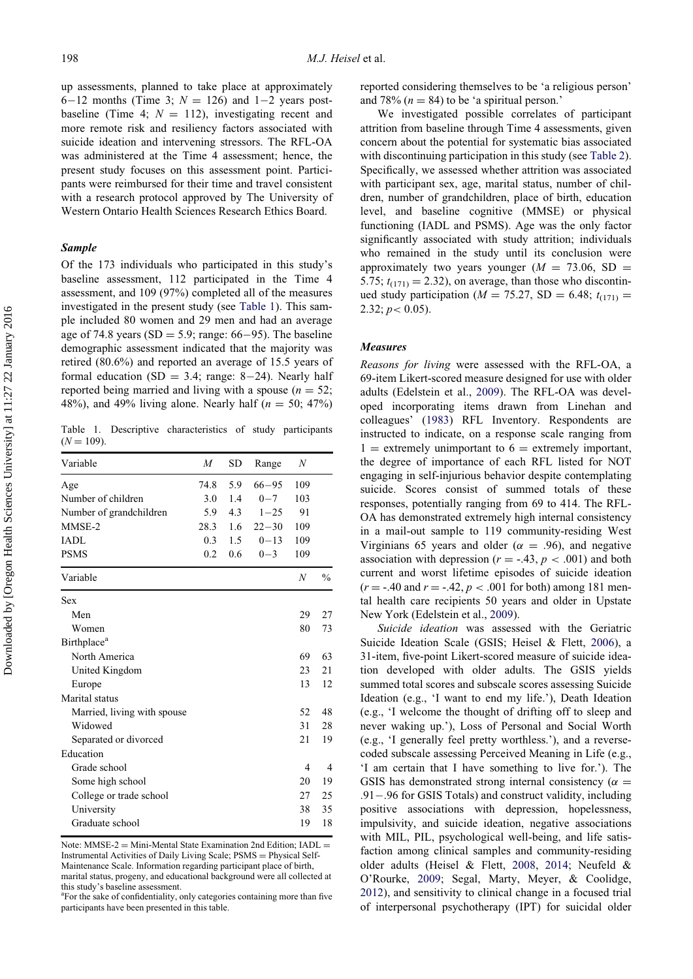up assessments, planned to take place at approximately 6-12 months (Time 3;  $N = 126$ ) and 1-2 years postbaseline (Time 4;  $N = 112$ ), investigating recent and more remote risk and resiliency factors associated with suicide ideation and intervening stressors. The RFL-OA was administered at the Time 4 assessment; hence, the present study focuses on this assessment point. Participants were reimbursed for their time and travel consistent with a research protocol approved by The University of Western Ontario Health Sciences Research Ethics Board.

# Sample

Of the 173 individuals who participated in this study's baseline assessment, 112 participated in the Time 4 assessment, and 109 (97%) completed all of the measures investigated in the present study (see [Table 1\)](#page-4-0). This sample included 80 women and 29 men and had an average age of 74.8 years (SD = 5.9; range:  $66-95$ ). The baseline demographic assessment indicated that the majority was retired (80.6%) and reported an average of 15.5 years of formal education (SD = 3.4; range: 8-24). Nearly half reported being married and living with a spouse ( $n = 52$ ; 48%), and 49% living alone. Nearly half  $(n = 50; 47%)$ 

Table 1. Descriptive characteristics of study participants  $(N = 109)$ .

| Variable                       | M    | <b>SD</b> | Range     | $\boldsymbol{N}$ |                |
|--------------------------------|------|-----------|-----------|------------------|----------------|
| Age                            | 74.8 | 5.9       | $66 - 95$ | 109              |                |
| Number of children             | 3.0  | 1.4       | $0 - 7$   | 103              |                |
| Number of grandchildren        | 5.9  | 4.3       | $1 - 25$  | 91               |                |
| MMSE-2                         | 28.3 | 1.6       | $22 - 30$ | 109              |                |
| <b>IADL</b>                    | 0.3  | 1.5       | $0 - 13$  | 109              |                |
| <b>PSMS</b>                    | 0.2  | 0.6       | $0 - 3$   | 109              |                |
| Variable                       |      |           |           | N                | $\frac{0}{0}$  |
| <b>Sex</b>                     |      |           |           |                  |                |
| Men                            |      |           |           | 29               | 27             |
| Women                          |      |           |           | 80               | 73             |
| <b>Birthplace</b> <sup>a</sup> |      |           |           |                  |                |
| North America                  |      |           |           | 69               | 63             |
| United Kingdom                 |      |           |           | 23               | 21             |
| Europe                         |      |           |           | 13               | 12             |
| Marital status                 |      |           |           |                  |                |
| Married, living with spouse    |      |           |           | 52               | 48             |
| Widowed                        |      |           |           | 31               | 28             |
| Separated or divorced          |      |           |           | 21               | 19             |
| Education                      |      |           |           |                  |                |
| Grade school                   |      |           |           | $\overline{4}$   | $\overline{4}$ |
| Some high school               |      |           |           | 20               | 19             |
| College or trade school        |      |           |           | 27               | 25             |
| University                     |      |           |           | 38               | 35             |
| Graduate school                |      |           |           | 19               | 18             |

Note: MMSE-2 = Mini-Mental State Examination 2nd Edition;  $IADL$  = Instrumental Activities of Daily Living Scale; PSMS = Physical Self-Maintenance Scale. Information regarding participant place of birth,

marital status, progeny, and educational background were all collected at this study's baseline assessment.

reported considering themselves to be 'a religious person' and 78%  $(n = 84)$  to be 'a spiritual person.'

We investigated possible correlates of participant attrition from baseline through Time 4 assessments, given concern about the potential for systematic bias associated with discontinuing participation in this study (see [Table 2\)](#page-5-0). Specifically, we assessed whether attrition was associated with participant sex, age, marital status, number of children, number of grandchildren, place of birth, education level, and baseline cognitive (MMSE) or physical functioning (IADL and PSMS). Age was the only factor significantly associated with study attrition; individuals who remained in the study until its conclusion were approximately two years younger ( $M = 73.06$ , SD = 5.75;  $t_{(171)} = 2.32$ ), on average, than those who discontinued study participation ( $M = 75.27$ , SD = 6.48;  $t_{(171)}$  =  $2.32; p < 0.05$ ).

# **Measures**

Reasons for living were assessed with the RFL-OA, a 69-item Likert-scored measure designed for use with older adults (Edelstein et al., [2009](#page-11-13)). The RFL-OA was developed incorporating items drawn from Linehan and colleagues' [\(1983](#page-12-9)) RFL Inventory. Respondents are instructed to indicate, on a response scale ranging from  $1 =$  extremely unimportant to  $6 =$  extremely important, the degree of importance of each RFL listed for NOT engaging in self-injurious behavior despite contemplating suicide. Scores consist of summed totals of these responses, potentially ranging from 69 to 414. The RFL-OA has demonstrated extremely high internal consistency in a mail-out sample to 119 community-residing West Virginians 65 years and older ( $\alpha = .96$ ), and negative association with depression ( $r = -.43$ ,  $p < .001$ ) and both current and worst lifetime episodes of suicide ideation  $(r = -.40$  and  $r = -.42, p < .001$  for both) among 181 mental health care recipients 50 years and older in Upstate New York (Edelstein et al., [2009](#page-11-13)).

Suicide ideation was assessed with the Geriatric Suicide Ideation Scale (GSIS; Heisel & Flett, [2006\)](#page-11-14), a 31-item, five-point Likert-scored measure of suicide ideation developed with older adults. The GSIS yields summed total scores and subscale scores assessing Suicide Ideation (e.g., 'I want to end my life.'), Death Ideation (e.g., 'I welcome the thought of drifting off to sleep and never waking up.'), Loss of Personal and Social Worth (e.g., 'I generally feel pretty worthless.'), and a reversecoded subscale assessing Perceived Meaning in Life (e.g., 'I am certain that I have something to live for.'). The GSIS has demonstrated strong internal consistency ( $\alpha =$ .91.96 for GSIS Totals) and construct validity, including positive associations with depression, hopelessness, impulsivity, and suicide ideation, negative associations with MIL, PIL, psychological well-being, and life satisfaction among clinical samples and community-residing older adults (Heisel & Flett, [2008](#page-11-15), [2014](#page-11-5); Neufeld & O'Rourke, [2009;](#page-12-5) Segal, Marty, Meyer, & Coolidge, [2012\)](#page-12-15), and sensitivity to clinical change in a focused trial of interpersonal psychotherapy (IPT) for suicidal older

<span id="page-4-0"></span><sup>&</sup>lt;sup>a</sup>For the sake of confidentiality, only categories containing more than five participants have been presented in this table.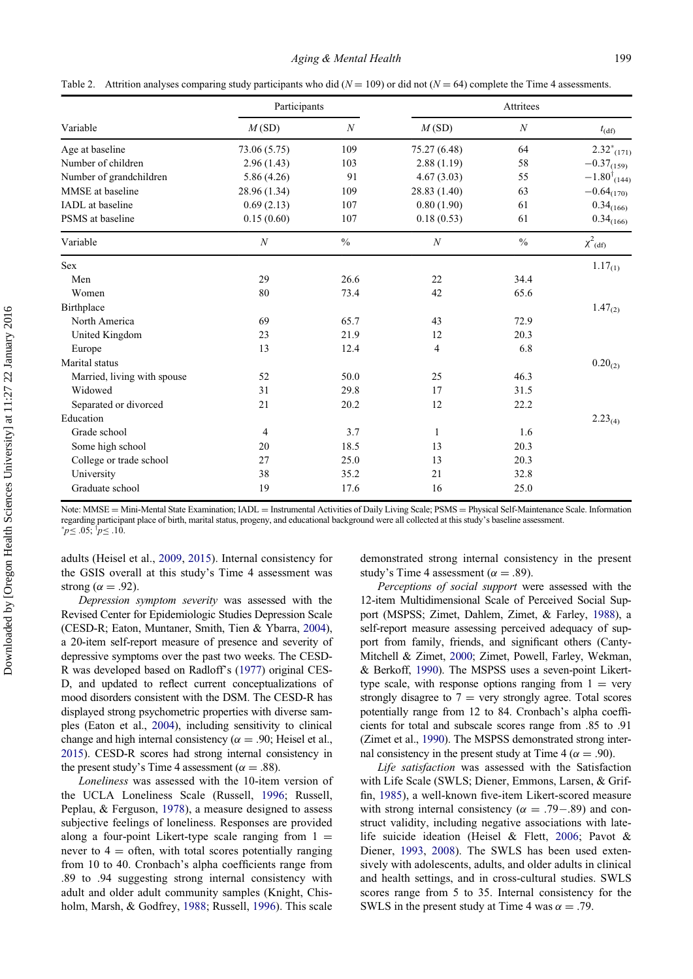|  | Table 2. Attrition analyses comparing study participants who did ( $N = 109$ ) or did not ( $N = 64$ ) complete the Time 4 assessments. |  |  |  |  |  |  |  |
|--|-----------------------------------------------------------------------------------------------------------------------------------------|--|--|--|--|--|--|--|
|--|-----------------------------------------------------------------------------------------------------------------------------------------|--|--|--|--|--|--|--|

|                             | Participants     |                  | Attritees        |                  |                           |  |
|-----------------------------|------------------|------------------|------------------|------------------|---------------------------|--|
| Variable                    | M(SD)            | $\boldsymbol{N}$ | M(SD)            | $\boldsymbol{N}$ | $t_{\text{(df)}}$         |  |
| Age at baseline             | 73.06 (5.75)     | 109              | 75.27 (6.48)     | 64               | $2.32^{\ast}_{(171)}$     |  |
| Number of children          | 2.96(1.43)       | 103              | 2.88(1.19)       | 58               | $-0.37_{(159)}$           |  |
| Number of grandchildren     | 5.86 (4.26)      | 91               | 4.67(3.03)       | 55               | $-1.80^{\dagger}_{(144)}$ |  |
| MMSE at baseline            | 28.96 (1.34)     | 109              | 28.83 (1.40)     | 63               | $-0.64_{(170)}$           |  |
| IADL at baseline            | 0.69(2.13)       | 107              | 0.80(1.90)       | 61               | $0.34_{(166)}$            |  |
| PSMS at baseline            | 0.15(0.60)       | 107              | 0.18(0.53)       | 61               | $0.34_{(166)}$            |  |
| Variable                    | $\boldsymbol{N}$ | $\frac{0}{0}$    | $\boldsymbol{N}$ | $\frac{0}{0}$    | $\chi^2$ <sub>(df)</sub>  |  |
| <b>Sex</b>                  |                  |                  |                  |                  | $1.17_{(1)}$              |  |
| Men                         | 29               | 26.6             | 22               | 34.4             |                           |  |
| Women                       | 80               | 73.4             | 42               | 65.6             |                           |  |
| Birthplace                  |                  |                  |                  |                  | $1.47_{(2)}$              |  |
| North America               | 69               | 65.7             | 43               | 72.9             |                           |  |
| United Kingdom              | 23               | 21.9             | 12               | 20.3             |                           |  |
| Europe                      | 13               | 12.4             | 4                | 6.8              |                           |  |
| Marital status              |                  |                  |                  |                  | $0.20_{(2)}$              |  |
| Married, living with spouse | 52               | 50.0             | 25               | 46.3             |                           |  |
| Widowed                     | 31               | 29.8             | 17               | 31.5             |                           |  |
| Separated or divorced       | 21               | 20.2             | 12               | 22.2             |                           |  |
| Education                   |                  |                  |                  |                  | $2.23_{(4)}$              |  |
| Grade school                | 4                | 3.7              | 1                | 1.6              |                           |  |
| Some high school            | 20               | 18.5             | 13               | 20.3             |                           |  |
| College or trade school     | 27               | 25.0             | 13               | 20.3             |                           |  |
| University                  | 38               | 35.2             | 21               | 32.8             |                           |  |
| Graduate school             | 19               | 17.6             | 16               | 25.0             |                           |  |

<span id="page-5-0"></span>Note: MMSE = Mini-Mental State Examination; IADL = Instrumental Activities of Daily Living Scale; PSMS = Physical Self-Maintenance Scale. Information regarding participant place of birth, marital status, progeny, and educational background were all collected at this study's baseline assessment.  $\,^*p \leq .05; \,^{\dagger}p \leq .10.$ 

adults (Heisel et al., [2009](#page-11-26), [2015\)](#page-11-27). Internal consistency for the GSIS overall at this study's Time 4 assessment was strong ( $\alpha = .92$ ).

Depression symptom severity was assessed with the Revised Center for Epidemiologic Studies Depression Scale (CESD-R; Eaton, Muntaner, Smith, Tien & Ybarra, [2004](#page-11-28)), a 20-item self-report measure of presence and severity of depressive symptoms over the past two weeks. The CESD-R was developed based on Radloff's [\(1977\)](#page-12-26) original CES-D, and updated to reflect current conceptualizations of mood disorders consistent with the DSM. The CESD-R has displayed strong psychometric properties with diverse samples (Eaton et al., [2004\)](#page-11-28), including sensitivity to clinical change and high internal consistency ( $\alpha = .90$ ; Heisel et al., [2015\)](#page-11-27). CESD-R scores had strong internal consistency in the present study's Time 4 assessment ( $\alpha = .88$ ).

Loneliness was assessed with the 10-item version of the UCLA Loneliness Scale (Russell, [1996;](#page-12-27) Russell, Peplau, & Ferguson, [1978\)](#page-12-28), a measure designed to assess subjective feelings of loneliness. Responses are provided along a four-point Likert-type scale ranging from  $1 =$ never to  $4 =$  often, with total scores potentially ranging from 10 to 40. Cronbach's alpha coefficients range from .89 to .94 suggesting strong internal consistency with adult and older adult community samples (Knight, Chisholm, Marsh, & Godfrey, [1988](#page-12-29); Russell, [1996\)](#page-12-27). This scale

demonstrated strong internal consistency in the present study's Time 4 assessment ( $\alpha = .89$ ).

Perceptions of social support were assessed with the 12-item Multidimensional Scale of Perceived Social Support (MSPSS; Zimet, Dahlem, Zimet, & Farley, [1988\)](#page-13-8), a self-report measure assessing perceived adequacy of support from family, friends, and significant others (Canty-Mitchell & Zimet, [2000;](#page-11-29) Zimet, Powell, Farley, Wekman, & Berkoff, [1990](#page-13-9)). The MSPSS uses a seven-point Likerttype scale, with response options ranging from  $1 = \text{very}$ strongly disagree to  $7 =$  very strongly agree. Total scores potentially range from 12 to 84. Cronbach's alpha coefficients for total and subscale scores range from .85 to .91 (Zimet et al., [1990\)](#page-13-9). The MSPSS demonstrated strong internal consistency in the present study at Time 4 ( $\alpha = .90$ ).

Life satisfaction was assessed with the Satisfaction with Life Scale (SWLS; Diener, Emmons, Larsen, & Griffin, [1985\)](#page-11-30), a well-known five-item Likert-scored measure with strong internal consistency ( $\alpha = .79-.89$ ) and construct validity, including negative associations with latelife suicide ideation (Heisel & Flett, [2006](#page-11-14); Pavot & Diener, [1993,](#page-12-30) [2008](#page-12-31)). The SWLS has been used extensively with adolescents, adults, and older adults in clinical and health settings, and in cross-cultural studies. SWLS scores range from 5 to 35. Internal consistency for the SWLS in the present study at Time 4 was  $\alpha = .79$ .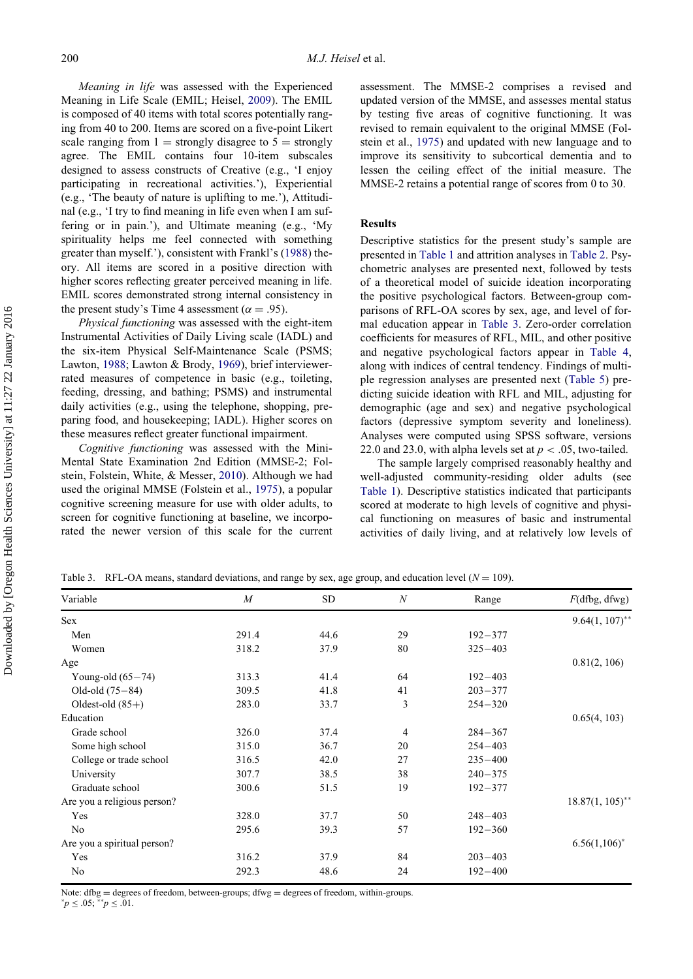Meaning in life was assessed with the Experienced Meaning in Life Scale (EMIL; Heisel, [2009](#page-11-31)). The EMIL is composed of 40 items with total scores potentially ranging from 40 to 200. Items are scored on a five-point Likert scale ranging from  $1 =$  strongly disagree to  $5 =$  strongly agree. The EMIL contains four 10-item subscales designed to assess constructs of Creative (e.g., 'I enjoy participating in recreational activities.'), Experiential (e.g., 'The beauty of nature is uplifting to me.'), Attitudinal (e.g., 'I try to find meaning in life even when I am suffering or in pain.'), and Ultimate meaning (e.g., 'My spirituality helps me feel connected with something greater than myself.'), consistent with Frankl's ([1988](#page-11-32)) theory. All items are scored in a positive direction with higher scores reflecting greater perceived meaning in life. EMIL scores demonstrated strong internal consistency in the present study's Time 4 assessment ( $\alpha = .95$ ).

Physical functioning was assessed with the eight-item Instrumental Activities of Daily Living scale (IADL) and the six-item Physical Self-Maintenance Scale (PSMS; Lawton, [1988](#page-12-32); Lawton & Brody, [1969\)](#page-12-33), brief interviewerrated measures of competence in basic (e.g., toileting, feeding, dressing, and bathing; PSMS) and instrumental daily activities (e.g., using the telephone, shopping, preparing food, and housekeeping; IADL). Higher scores on these measures reflect greater functional impairment.

Cognitive functioning was assessed with the Mini-Mental State Examination 2nd Edition (MMSE-2; Folstein, Folstein, White, & Messer, [2010](#page-11-33)). Although we had used the original MMSE (Folstein et al., [1975](#page-11-25)), a popular cognitive screening measure for use with older adults, to screen for cognitive functioning at baseline, we incorporated the newer version of this scale for the current

assessment. The MMSE-2 comprises a revised and updated version of the MMSE, and assesses mental status by testing five areas of cognitive functioning. It was revised to remain equivalent to the original MMSE (Folstein et al., [1975\)](#page-11-25) and updated with new language and to improve its sensitivity to subcortical dementia and to lessen the ceiling effect of the initial measure. The MMSE-2 retains a potential range of scores from 0 to 30.

# Results

Descriptive statistics for the present study's sample are presented in [Table 1](#page-4-0) and attrition analyses in [Table 2](#page-5-0). Psychometric analyses are presented next, followed by tests of a theoretical model of suicide ideation incorporating the positive psychological factors. Between-group comparisons of RFL-OA scores by sex, age, and level of formal education appear in [Table 3.](#page-6-0) Zero-order correlation coefficients for measures of RFL, MIL, and other positive and negative psychological factors appear in [Table 4](#page-7-0), along with indices of central tendency. Findings of multiple regression analyses are presented next ([Table 5\)](#page-7-1) predicting suicide ideation with RFL and MIL, adjusting for demographic (age and sex) and negative psychological factors (depressive symptom severity and loneliness). Analyses were computed using SPSS software, versions 22.0 and 23.0, with alpha levels set at  $p < .05$ , two-tailed.

The sample largely comprised reasonably healthy and well-adjusted community-residing older adults (see [Table 1\)](#page-4-0). Descriptive statistics indicated that participants scored at moderate to high levels of cognitive and physical functioning on measures of basic and instrumental activities of daily living, and at relatively low levels of

Table 3. RFL-OA means, standard deviations, and range by sex, age group, and education level  $(N = 109)$ .

| Variable                    | $\boldsymbol{M}$ | <b>SD</b> | $\boldsymbol{N}$ | Range       | $F$ (dfbg, dfwg)   |
|-----------------------------|------------------|-----------|------------------|-------------|--------------------|
| Sex                         |                  |           |                  |             | $9.64(1, 107)$ **  |
| Men                         | 291.4            | 44.6      | 29               | $192 - 377$ |                    |
| Women                       | 318.2            | 37.9      | 80               | $325 - 403$ |                    |
| Age                         |                  |           |                  |             | 0.81(2, 106)       |
| Young-old $(65-74)$         | 313.3            | 41.4      | 64               | $192 - 403$ |                    |
| Old-old $(75-84)$           | 309.5            | 41.8      | 41               | $203 - 377$ |                    |
| Oldest-old $(85+)$          | 283.0            | 33.7      | 3                | $254 - 320$ |                    |
| Education                   |                  |           |                  |             | 0.65(4, 103)       |
| Grade school                | 326.0            | 37.4      | $\overline{4}$   | $284 - 367$ |                    |
| Some high school            | 315.0            | 36.7      | 20               | $254 - 403$ |                    |
| College or trade school     | 316.5            | 42.0      | 27               | $235 - 400$ |                    |
| University                  | 307.7            | 38.5      | 38               | $240 - 375$ |                    |
| Graduate school             | 300.6            | 51.5      | 19               | $192 - 377$ |                    |
| Are you a religious person? |                  |           |                  |             | $18.87(1, 105)$ ** |
| Yes                         | 328.0            | 37.7      | 50               | $248 - 403$ |                    |
| No                          | 295.6            | 39.3      | 57               | $192 - 360$ |                    |
| Are you a spiritual person? |                  |           |                  |             | $6.56(1,106)^*$    |
| Yes                         | 316.2            | 37.9      | 84               | $203 - 403$ |                    |
| No                          | 292.3            | 48.6      | 24               | $192 - 400$ |                    |

<span id="page-6-0"></span>Note:  $dfg = degrees of freedom, between-groups;  $dfwg = degrees of freedom, within-groups.$$ 

 $^*p \leq .05; ^{**}p \leq .01.$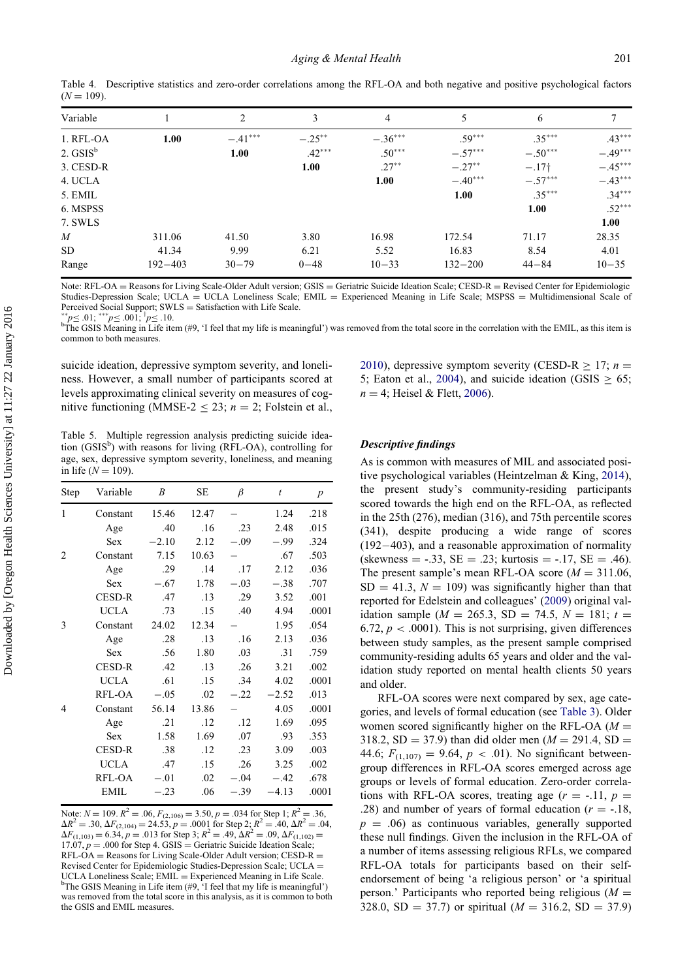| Variable             |             | 2         | 3         | 4         | 5           | 6         | 7         |
|----------------------|-------------|-----------|-----------|-----------|-------------|-----------|-----------|
| 1. RFL-OA            | 1.00        | $-.41***$ | $-.25***$ | $-.36***$ | $.59***$    | $.35***$  | $.43***$  |
| 2. GSIS <sup>b</sup> |             | 1.00      | $.42***$  | $.50***$  | $-.57***$   | $-.50***$ | $-.49***$ |
| 3. CESD-R            |             |           | 1.00      | $.27***$  | $-.27***$   | $-.17†$   | $-.45***$ |
| 4. UCLA              |             |           |           | 1.00      | $-.40***$   | $-.57***$ | $-.43***$ |
| 5. EMIL              |             |           |           |           | 1.00        | $.35***$  | $.34***$  |
| 6. MSPSS             |             |           |           |           |             | 1.00      | $.52***$  |
| 7. SWLS              |             |           |           |           |             |           | 1.00      |
| $\boldsymbol{M}$     | 311.06      | 41.50     | 3.80      | 16.98     | 172.54      | 71.17     | 28.35     |
| SD.                  | 41.34       | 9.99      | 6.21      | 5.52      | 16.83       | 8.54      | 4.01      |
| Range                | $192 - 403$ | $30 - 79$ | $0 - 48$  | $10 - 33$ | $132 - 200$ | $44 - 84$ | $10 - 35$ |

Table 4. Descriptive statistics and zero-order correlations among the RFL-OA and both negative and positive psychological factors  $(N = 109)$ 

Note:  $RFL-OA = Reasons$  for Living Scale-Older Adult version;  $GSSS = Geriatric$  Suicide Ideation Scale;  $CESD-R = Revised$  Center for Epidemiologic Studies-Depression Scale; UCLA = UCLA Loneliness Scale; EMIL = Experienced Meaning in Life Scale; MSPSS = Multidimensional Scale of Perceived Social Support; SWLS = Satisfaction with Life Scale.<br>
<sup>\*\*</sup> $p \le 0.01$ ;  $^{\dagger} p \le 0.10$ .<br>
<sup>b</sup>The GSIS Meaning in Life item (#0, 'I feel that my life is mean

<span id="page-7-0"></span>

 ${}^{b}$ The GSIS Meaning in Life item (#9, 'I feel that my life is meaningful') was removed from the total score in the correlation with the EMIL, as this item is common to both measures.

suicide ideation, depressive symptom severity, and loneliness. However, a small number of participants scored at levels approximating clinical severity on measures of cognitive functioning (MMSE-2  $\le$  23;  $n = 2$ ; Folstein et al.,

Table 5. Multiple regression analysis predicting suicide ideation (GSIS<sup>b</sup>) with reasons for living (RFL-OA), controlling for age, sex, depressive symptom severity, loneliness, and meaning in life ( $N = 109$ ).

| Step | Variable      | B       | SE    | $\beta$ | $\boldsymbol{t}$ | $\boldsymbol{p}$ |
|------|---------------|---------|-------|---------|------------------|------------------|
| 1    | Constant      | 15.46   | 12.47 |         | 1.24             | .218             |
|      | Age           | .40     | .16   | .23     | 2.48             | .015             |
|      | <b>Sex</b>    | $-2.10$ | 2.12  | $-.09$  | $-.99$           | .324             |
| 2    | Constant      | 7.15    | 10.63 |         | .67              | .503             |
|      | Age           | .29     | .14   | .17     | 2.12             | .036             |
|      | <b>Sex</b>    | $-.67$  | 1.78  | $-.03$  | $-.38$           | .707             |
|      | <b>CESD-R</b> | .47     | .13   | .29     | 3.52             | .001             |
|      | <b>UCLA</b>   | .73     | .15   | .40     | 4.94             | .0001            |
| 3    | Constant      | 24.02   | 12.34 |         | 1.95             | .054             |
|      | Age           | .28     | .13   | .16     | 2.13             | .036             |
|      | <b>Sex</b>    | .56     | 1.80  | .03     | .31              | .759             |
|      | <b>CESD-R</b> | .42     | .13   | .26     | 3.21             | .002             |
|      | <b>UCLA</b>   | .61     | .15   | .34     | 4.02             | .0001            |
|      | RFL-OA        | $-.05$  | .02   | $-.22$  | $-2.52$          | .013             |
| 4    | Constant      | 56.14   | 13.86 |         | 4.05             | .0001            |
|      | Age           | .21     | .12   | .12     | 1.69             | .095             |
|      | <b>Sex</b>    | 1.58    | 1.69  | .07     | .93              | .353             |
|      | <b>CESD-R</b> | .38     | .12   | .23     | 3.09             | .003             |
|      | UCLA          | .47     | .15   | .26     | 3.25             | .002             |
|      | RFL-OA        | $-.01$  | .02   | $-.04$  | $-.42$           | .678             |
|      | <b>EMIL</b>   | $-.23$  | .06   | $-.39$  | $-4.13$          | .0001            |
|      |               |         |       |         |                  |                  |

<span id="page-7-1"></span>Note:  $N = 109$ .  $R^2 = .06$ ,  $F_{(2,106)} = 3.50$ ,  $p = .034$  for Step 1;  $R^2 = .36$ ,  $\Delta R^2 = .30, \Delta F_{(2,104)} = 24.53, p = .0001$  for Step 2;  $R^2 = .40, \Delta R^2 = .04,$  $\Delta F_{(1,103)} = 6.34, p = .013$  for Step 3;  $R^2 = .49, \Delta R^2 = .09, \Delta F_{(1,102)} =$  $17.07, p = .000$  for Step 4. GSIS = Geriatric Suicide Ideation Scale;  $RFL-OA = Reasons$  for Living Scale-Older Adult version; CESD- $R =$ Revised Center for Epidemiologic Studies-Depression Scale; UCLA = UCLA Loneliness Scale; EMIL = Experienced Meaning in Life Scale.  $b^b$ The GSIS Meaning in Life item (#9, 'I feel that my life is meaningful') was removed from the total score in this analysis, as it is common to both the GSIS and EMIL measures.

[2010\)](#page-11-33), depressive symptom severity (CESD-R  $\geq$  17; n = 5; Eaton et al., [2004\)](#page-11-28), and suicide ideation (GSIS  $\geq$  65;  $n = 4$ ; Heisel & Flett, [2006\)](#page-11-14).

# Descriptive findings

As is common with measures of MIL and associated positive psychological variables (Heintzelman & King, [2014\)](#page-11-34), the present study's community-residing participants scored towards the high end on the RFL-OA, as reflected in the 25th (276), median (316), and 75th percentile scores (341), despite producing a wide range of scores  $(192-403)$ , and a reasonable approximation of normality  $\text{(skewness} = -.33, \text{ SE} = .23; \text{ kurtosis} = -.17, \text{ SE} = .46).$ The present sample's mean RFL-OA score ( $M = 311.06$ ,  $SD = 41.3$ ,  $N = 109$ ) was significantly higher than that reported for Edelstein and colleagues' ([2009\)](#page-11-13) original validation sample ( $M = 265.3$ , SD = 74.5,  $N = 181$ ;  $t =$ 6.72,  $p < .0001$ ). This is not surprising, given differences between study samples, as the present sample comprised community-residing adults 65 years and older and the validation study reported on mental health clients 50 years and older.

RFL-OA scores were next compared by sex, age categories, and levels of formal education (see [Table 3\)](#page-6-0). Older women scored significantly higher on the RFL-OA  $(M =$ 318.2, SD = 37.9) than did older men ( $M = 291.4$ , SD = 44.6;  $F_{(1,107)} = 9.64$ ,  $p < .01$ ). No significant betweengroup differences in RFL-OA scores emerged across age groups or levels of formal education. Zero-order correlations with RFL-OA scores, treating age  $(r = -11, p =$ .28) and number of years of formal education  $(r = -.18, ...)$  $p = .06$ ) as continuous variables, generally supported these null findings. Given the inclusion in the RFL-OA of a number of items assessing religious RFLs, we compared RFL-OA totals for participants based on their selfendorsement of being 'a religious person' or 'a spiritual person.' Participants who reported being religious ( $M =$ 328.0, SD = 37.7) or spiritual ( $M = 316.2$ , SD = 37.9)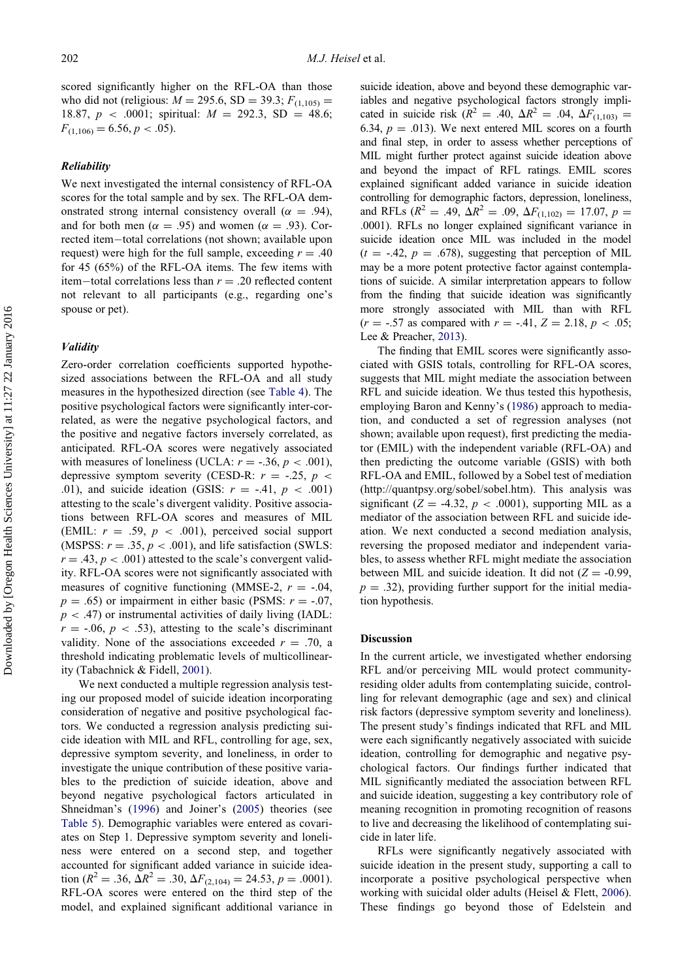scored significantly higher on the RFL-OA than those who did not (religious:  $M = 295.6$ , SD = 39.3;  $F_{(1,105)}$  = 18.87,  $p < .0001$ ; spiritual:  $M = 292.3$ , SD = 48.6;  $F_{(1,106)} = 6.56, p < .05$ .

## Reliability

We next investigated the internal consistency of RFL-OA scores for the total sample and by sex. The RFL-OA demonstrated strong internal consistency overall ( $\alpha = .94$ ), and for both men ( $\alpha = .95$ ) and women ( $\alpha = .93$ ). Corrected item-total correlations (not shown; available upon request) were high for the full sample, exceeding  $r = .40$ for 45 (65%) of the RFL-OA items. The few items with item-total correlations less than  $r = .20$  reflected content not relevant to all participants (e.g., regarding one's spouse or pet).

# Validity

Zero-order correlation coefficients supported hypothesized associations between the RFL-OA and all study measures in the hypothesized direction (see [Table 4\)](#page-7-0). The positive psychological factors were significantly inter-correlated, as were the negative psychological factors, and the positive and negative factors inversely correlated, as anticipated. RFL-OA scores were negatively associated with measures of loneliness (UCLA:  $r = -.36, p < .001$ ), depressive symptom severity (CESD-R:  $r = -.25$ ,  $p <$ .01), and suicide ideation (GSIS:  $r = -.41$ ,  $p < .001$ ) attesting to the scale's divergent validity. Positive associations between RFL-OA scores and measures of MIL (EMIL:  $r = .59$ ,  $p < .001$ ), perceived social support (MSPSS:  $r = .35$ ,  $p < .001$ ), and life satisfaction (SWLS:  $r = .43$ ,  $p < .001$ ) attested to the scale's convergent validity. RFL-OA scores were not significantly associated with measures of cognitive functioning (MMSE-2,  $r = -0.04$ ,  $p = .65$ ) or impairment in either basic (PSMS:  $r = -.07$ ,  $p < .47$ ) or instrumental activities of daily living (IADL:  $r = -0.06$ ,  $p < .53$ ), attesting to the scale's discriminant validity. None of the associations exceeded  $r = .70$ , a threshold indicating problematic levels of multicollinearity (Tabachnick & Fidell, [2001](#page-13-10)).

We next conducted a multiple regression analysis testing our proposed model of suicide ideation incorporating consideration of negative and positive psychological factors. We conducted a regression analysis predicting suicide ideation with MIL and RFL, controlling for age, sex, depressive symptom severity, and loneliness, in order to investigate the unique contribution of these positive variables to the prediction of suicide ideation, above and beyond negative psychological factors articulated in Shneidman's ([1996\)](#page-13-2) and Joiner's [\(2005](#page-12-4)) theories (see [Table 5\)](#page-7-1). Demographic variables were entered as covariates on Step 1. Depressive symptom severity and loneliness were entered on a second step, and together accounted for significant added variance in suicide ideation ( $R^2 = .36$ ,  $\Delta R^2 = .30$ ,  $\Delta F_{(2,104)} = 24.53$ ,  $p = .0001$ ). RFL-OA scores were entered on the third step of the model, and explained significant additional variance in suicide ideation, above and beyond these demographic variables and negative psychological factors strongly implicated in suicide risk ( $R^2 = .40, \Delta R^2 = .04, \Delta F_{(1,103)} =$ 6.34,  $p = .013$ ). We next entered MIL scores on a fourth and final step, in order to assess whether perceptions of MIL might further protect against suicide ideation above and beyond the impact of RFL ratings. EMIL scores explained significant added variance in suicide ideation controlling for demographic factors, depression, loneliness, and RFLs ( $R^2 = .49$ ,  $\Delta R^2 = .09$ ,  $\Delta F_{(1,102)} = 17.07$ ,  $p =$ .0001). RFLs no longer explained significant variance in suicide ideation once MIL was included in the model  $(t = -.42, p = .678)$ , suggesting that perception of MIL may be a more potent protective factor against contemplations of suicide. A similar interpretation appears to follow from the finding that suicide ideation was significantly more strongly associated with MIL than with RFL  $(r = -.57 \text{ as compared with } r = -.41, Z = 2.18, p < .05;$ Lee & Preacher, [2013\)](#page-12-34).

The finding that EMIL scores were significantly associated with GSIS totals, controlling for RFL-OA scores, suggests that MIL might mediate the association between RFL and suicide ideation. We thus tested this hypothesis, employing Baron and Kenny's [\(1986](#page-11-35)) approach to mediation, and conducted a set of regression analyses (not shown; available upon request), first predicting the mediator (EMIL) with the independent variable (RFL-OA) and then predicting the outcome variable (GSIS) with both RFL-OA and EMIL, followed by a Sobel test of mediation ([http://quantpsy.org/sobel/sobel.htm\)](http://quantpsy.org/sobel/sobel.htm). This analysis was significant ( $Z = -4.32$ ,  $p < .0001$ ), supporting MIL as a mediator of the association between RFL and suicide ideation. We next conducted a second mediation analysis, reversing the proposed mediator and independent variables, to assess whether RFL might mediate the association between MIL and suicide ideation. It did not  $(Z = -0.99,$  $p = .32$ ), providing further support for the initial mediation hypothesis.

# **Discussion**

In the current article, we investigated whether endorsing RFL and/or perceiving MIL would protect communityresiding older adults from contemplating suicide, controlling for relevant demographic (age and sex) and clinical risk factors (depressive symptom severity and loneliness). The present study's findings indicated that RFL and MIL were each significantly negatively associated with suicide ideation, controlling for demographic and negative psychological factors. Our findings further indicated that MIL significantly mediated the association between RFL and suicide ideation, suggesting a key contributory role of meaning recognition in promoting recognition of reasons to live and decreasing the likelihood of contemplating suicide in later life.

RFLs were significantly negatively associated with suicide ideation in the present study, supporting a call to incorporate a positive psychological perspective when working with suicidal older adults (Heisel & Flett, [2006\)](#page-11-14). These findings go beyond those of Edelstein and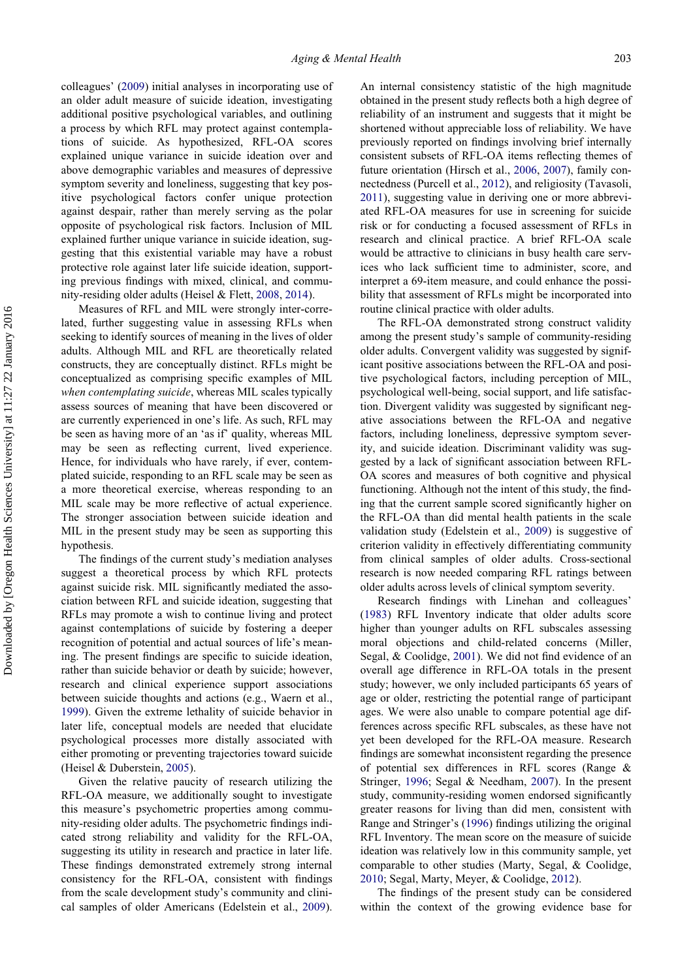colleagues' [\(2009](#page-11-13)) initial analyses in incorporating use of an older adult measure of suicide ideation, investigating additional positive psychological variables, and outlining a process by which RFL may protect against contemplations of suicide. As hypothesized, RFL-OA scores explained unique variance in suicide ideation over and above demographic variables and measures of depressive symptom severity and loneliness, suggesting that key positive psychological factors confer unique protection against despair, rather than merely serving as the polar opposite of psychological risk factors. Inclusion of MIL explained further unique variance in suicide ideation, suggesting that this existential variable may have a robust protective role against later life suicide ideation, supporting previous findings with mixed, clinical, and community-residing older adults (Heisel & Flett, [2008](#page-11-15), [2014\)](#page-11-5).

Measures of RFL and MIL were strongly inter-correlated, further suggesting value in assessing RFLs when seeking to identify sources of meaning in the lives of older adults. Although MIL and RFL are theoretically related constructs, they are conceptually distinct. RFLs might be conceptualized as comprising specific examples of MIL when contemplating suicide, whereas MIL scales typically assess sources of meaning that have been discovered or are currently experienced in one's life. As such, RFL may be seen as having more of an 'as if' quality, whereas MIL may be seen as reflecting current, lived experience. Hence, for individuals who have rarely, if ever, contemplated suicide, responding to an RFL scale may be seen as a more theoretical exercise, whereas responding to an MIL scale may be more reflective of actual experience. The stronger association between suicide ideation and MIL in the present study may be seen as supporting this hypothesis.

The findings of the current study's mediation analyses suggest a theoretical process by which RFL protects against suicide risk. MIL significantly mediated the association between RFL and suicide ideation, suggesting that RFLs may promote a wish to continue living and protect against contemplations of suicide by fostering a deeper recognition of potential and actual sources of life's meaning. The present findings are specific to suicide ideation, rather than suicide behavior or death by suicide; however, research and clinical experience support associations between suicide thoughts and actions (e.g., Waern et al., [1999\)](#page-13-7). Given the extreme lethality of suicide behavior in later life, conceptual models are needed that elucidate psychological processes more distally associated with either promoting or preventing trajectories toward suicide (Heisel & Duberstein, [2005\)](#page-11-3).

Given the relative paucity of research utilizing the RFL-OA measure, we additionally sought to investigate this measure's psychometric properties among community-residing older adults. The psychometric findings indicated strong reliability and validity for the RFL-OA, suggesting its utility in research and practice in later life. These findings demonstrated extremely strong internal consistency for the RFL-OA, consistent with findings from the scale development study's community and clinical samples of older Americans (Edelstein et al., [2009\)](#page-11-13).

An internal consistency statistic of the high magnitude obtained in the present study reflects both a high degree of reliability of an instrument and suggests that it might be shortened without appreciable loss of reliability. We have previously reported on findings involving brief internally consistent subsets of RFL-OA items reflecting themes of future orientation (Hirsch et al., [2006](#page-12-21), [2007\)](#page-12-22), family connectedness (Purcell et al., [2012](#page-12-35)), and religiosity (Tavasoli, [2011\)](#page-13-11), suggesting value in deriving one or more abbreviated RFL-OA measures for use in screening for suicide risk or for conducting a focused assessment of RFLs in research and clinical practice. A brief RFL-OA scale would be attractive to clinicians in busy health care services who lack sufficient time to administer, score, and interpret a 69-item measure, and could enhance the possibility that assessment of RFLs might be incorporated into routine clinical practice with older adults.

The RFL-OA demonstrated strong construct validity among the present study's sample of community-residing older adults. Convergent validity was suggested by significant positive associations between the RFL-OA and positive psychological factors, including perception of MIL, psychological well-being, social support, and life satisfaction. Divergent validity was suggested by significant negative associations between the RFL-OA and negative factors, including loneliness, depressive symptom severity, and suicide ideation. Discriminant validity was suggested by a lack of significant association between RFL-OA scores and measures of both cognitive and physical functioning. Although not the intent of this study, the finding that the current sample scored significantly higher on the RFL-OA than did mental health patients in the scale validation study (Edelstein et al., [2009\)](#page-11-13) is suggestive of criterion validity in effectively differentiating community from clinical samples of older adults. Cross-sectional research is now needed comparing RFL ratings between older adults across levels of clinical symptom severity.

Research findings with Linehan and colleagues' ([1983\)](#page-12-9) RFL Inventory indicate that older adults score higher than younger adults on RFL subscales assessing moral objections and child-related concerns (Miller, Segal, & Coolidge, [2001](#page-12-19)). We did not find evidence of an overall age difference in RFL-OA totals in the present study; however, we only included participants 65 years of age or older, restricting the potential range of participant ages. We were also unable to compare potential age differences across specific RFL subscales, as these have not yet been developed for the RFL-OA measure. Research findings are somewhat inconsistent regarding the presence of potential sex differences in RFL scores (Range & Stringer, [1996;](#page-12-14) Segal & Needham, [2007](#page-13-12)). In the present study, community-residing women endorsed significantly greater reasons for living than did men, consistent with Range and Stringer's [\(1996](#page-12-14)) findings utilizing the original RFL Inventory. The mean score on the measure of suicide ideation was relatively low in this community sample, yet comparable to other studies (Marty, Segal, & Coolidge, [2010;](#page-12-13) Segal, Marty, Meyer, & Coolidge, [2012\)](#page-12-15).

The findings of the present study can be considered within the context of the growing evidence base for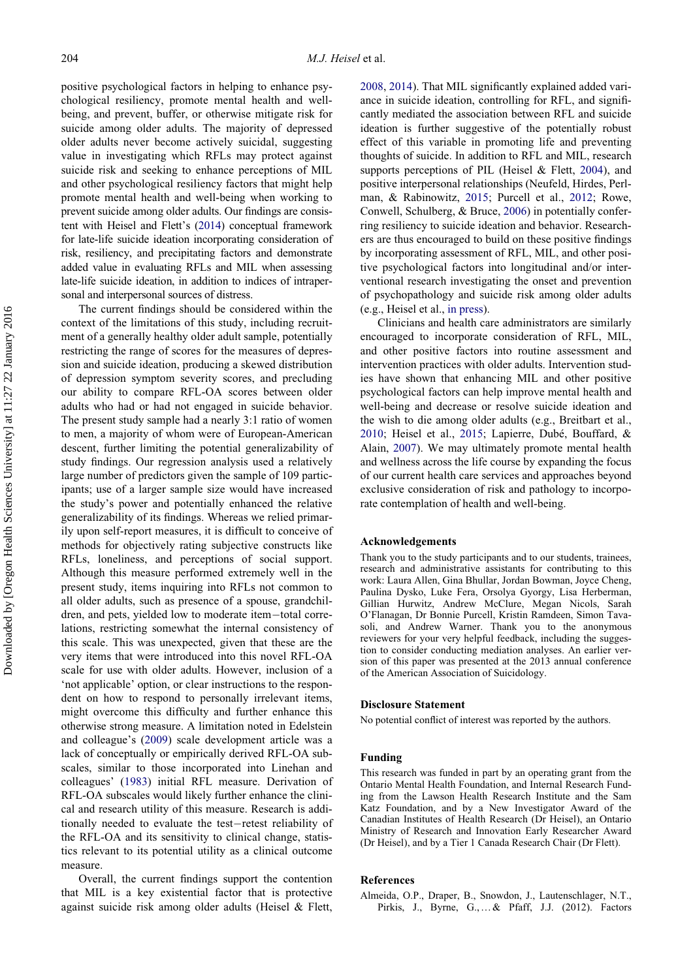positive psychological factors in helping to enhance psychological resiliency, promote mental health and wellbeing, and prevent, buffer, or otherwise mitigate risk for suicide among older adults. The majority of depressed older adults never become actively suicidal, suggesting value in investigating which RFLs may protect against suicide risk and seeking to enhance perceptions of MIL and other psychological resiliency factors that might help promote mental health and well-being when working to prevent suicide among older adults. Our findings are consistent with Heisel and Flett's ([2014\)](#page-11-5) conceptual framework for late-life suicide ideation incorporating consideration of risk, resiliency, and precipitating factors and demonstrate added value in evaluating RFLs and MIL when assessing late-life suicide ideation, in addition to indices of intrapersonal and interpersonal sources of distress.

The current findings should be considered within the context of the limitations of this study, including recruitment of a generally healthy older adult sample, potentially restricting the range of scores for the measures of depression and suicide ideation, producing a skewed distribution of depression symptom severity scores, and precluding our ability to compare RFL-OA scores between older adults who had or had not engaged in suicide behavior. The present study sample had a nearly 3:1 ratio of women to men, a majority of whom were of European-American descent, further limiting the potential generalizability of study findings. Our regression analysis used a relatively large number of predictors given the sample of 109 participants; use of a larger sample size would have increased the study's power and potentially enhanced the relative generalizability of its findings. Whereas we relied primarily upon self-report measures, it is difficult to conceive of methods for objectively rating subjective constructs like RFLs, loneliness, and perceptions of social support. Although this measure performed extremely well in the present study, items inquiring into RFLs not common to all older adults, such as presence of a spouse, grandchildren, and pets, yielded low to moderate item-total correlations, restricting somewhat the internal consistency of this scale. This was unexpected, given that these are the very items that were introduced into this novel RFL-OA scale for use with older adults. However, inclusion of a 'not applicable' option, or clear instructions to the respondent on how to respond to personally irrelevant items, might overcome this difficulty and further enhance this otherwise strong measure. A limitation noted in Edelstein and colleague's [\(2009](#page-11-13)) scale development article was a lack of conceptually or empirically derived RFL-OA subscales, similar to those incorporated into Linehan and colleagues' ([1983\)](#page-12-9) initial RFL measure. Derivation of RFL-OA subscales would likely further enhance the clinical and research utility of this measure. Research is additionally needed to evaluate the test-retest reliability of the RFL-OA and its sensitivity to clinical change, statistics relevant to its potential utility as a clinical outcome measure.

<span id="page-10-0"></span>Overall, the current findings support the contention that MIL is a key existential factor that is protective against suicide risk among older adults (Heisel & Flett, [2008,](#page-11-15) [2014](#page-11-5)). That MIL significantly explained added variance in suicide ideation, controlling for RFL, and significantly mediated the association between RFL and suicide ideation is further suggestive of the potentially robust effect of this variable in promoting life and preventing thoughts of suicide. In addition to RFL and MIL, research supports perceptions of PIL (Heisel & Flett, [2004](#page-11-23)), and positive interpersonal relationships (Neufeld, Hirdes, Perlman, & Rabinowitz, [2015;](#page-12-36) Purcell et al., [2012](#page-12-35); Rowe, Conwell, Schulberg, & Bruce, [2006\)](#page-12-37) in potentially conferring resiliency to suicide ideation and behavior. Researchers are thus encouraged to build on these positive findings by incorporating assessment of RFL, MIL, and other positive psychological factors into longitudinal and/or interventional research investigating the onset and prevention of psychopathology and suicide risk among older adults (e.g., Heisel et al., [in press](#page-11-36)).

Clinicians and health care administrators are similarly encouraged to incorporate consideration of RFL, MIL, and other positive factors into routine assessment and intervention practices with older adults. Intervention studies have shown that enhancing MIL and other positive psychological factors can help improve mental health and well-being and decrease or resolve suicide ideation and the wish to die among older adults (e.g., Breitbart et al., [2010;](#page-11-37) Heisel et al., [2015](#page-11-27); Lapierre, Dubé, Bouffard, & Alain, [2007\)](#page-12-38). We may ultimately promote mental health and wellness across the life course by expanding the focus of our current health care services and approaches beyond exclusive consideration of risk and pathology to incorporate contemplation of health and well-being.

# Acknowledgements

Thank you to the study participants and to our students, trainees, research and administrative assistants for contributing to this work: Laura Allen, Gina Bhullar, Jordan Bowman, Joyce Cheng, Paulina Dysko, Luke Fera, Orsolya Gyorgy, Lisa Herberman, Gillian Hurwitz, Andrew McClure, Megan Nicols, Sarah O'Flanagan, Dr Bonnie Purcell, Kristin Ramdeen, Simon Tavasoli, and Andrew Warner. Thank you to the anonymous reviewers for your very helpful feedback, including the suggestion to consider conducting mediation analyses. An earlier version of this paper was presented at the 2013 annual conference of the American Association of Suicidology.

# Disclosure Statement

No potential conflict of interest was reported by the authors.

## Funding

This research was funded in part by an operating grant from the Ontario Mental Health Foundation, and Internal Research Funding from the Lawson Health Research Institute and the Sam Katz Foundation, and by a New Investigator Award of the Canadian Institutes of Health Research (Dr Heisel), an Ontario Ministry of Research and Innovation Early Researcher Award (Dr Heisel), and by a Tier 1 Canada Research Chair (Dr Flett).

#### References

Almeida, O.P., Draper, B., Snowdon, J., Lautenschlager, N.T., Pirkis, J., Byrne, G.,…& Pfaff, J.J. (2012). Factors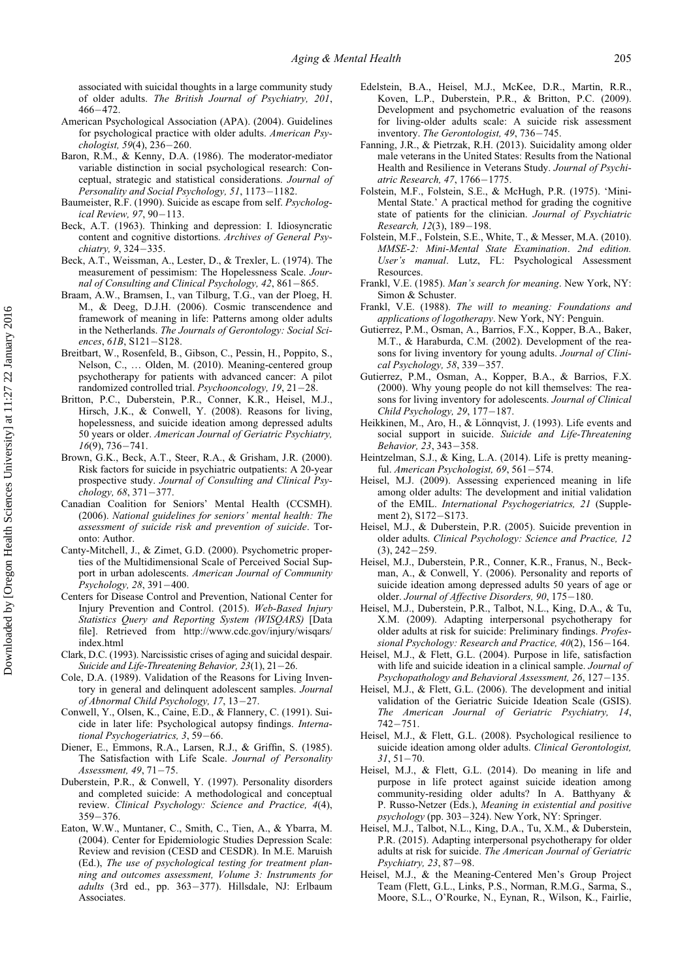<span id="page-11-13"></span>associated with suicidal thoughts in a large community study of older adults. The British Journal of Psychiatry, 201, 466472.

- <span id="page-11-16"></span>American Psychological Association (APA). (2004). Guidelines for psychological practice with older adults. American Psychologist, 59(4), 236-260.
- <span id="page-11-35"></span><span id="page-11-4"></span>Baron, R.M., & Kenny, D.A. (1986). The moderator-mediator variable distinction in social psychological research: Conceptual, strategic and statistical considerations. Journal of Personality and Social Psychology, 51, 1173-1182.
- <span id="page-11-25"></span><span id="page-11-20"></span>Baumeister, R.F. (1990). Suicide as escape from self. Psychological Review, 97, 90-113.
- <span id="page-11-33"></span><span id="page-11-6"></span>Beck, A.T. (1963). Thinking and depression: I. Idiosyncratic content and cognitive distortions. Archives of General Psychiatry, 9, 324-335.
- <span id="page-11-7"></span>Beck, A.T., Weissman, A., Lester, D., & Trexler, L. (1974). The measurement of pessimism: The Hopelessness Scale. Journal of Consulting and Clinical Psychology,  $42,861-865$ .
- <span id="page-11-32"></span><span id="page-11-24"></span><span id="page-11-22"></span>Braam, A.W., Bramsen, I., van Tilburg, T.G., van der Ploeg, H. M., & Deeg, D.J.H. (2006). Cosmic transcendence and framework of meaning in life: Patterns among older adults in the Netherlands. The Journals of Gerontology: Social Sciences,  $61B$ ,  $S121-S128$ .
- <span id="page-11-37"></span><span id="page-11-19"></span><span id="page-11-18"></span>Breitbart, W., Rosenfeld, B., Gibson, C., Pessin, H., Poppito, S., Nelson, C., … Olden, M. (2010). Meaning-centered group psychotherapy for patients with advanced cancer: A pilot randomized controlled trial. Psychooncology,  $19, 21-28$ .
- <span id="page-11-21"></span><span id="page-11-12"></span>Britton, P.C., Duberstein, P.R., Conner, K.R., Heisel, M.J., Hirsch, J.K., & Conwell, Y. (2008). Reasons for living, hopelessness, and suicide ideation among depressed adults 50 years or older. American Journal of Geriatric Psychiatry,  $16(9)$ , 736-741.
- <span id="page-11-34"></span><span id="page-11-31"></span><span id="page-11-8"></span>Brown, G.K., Beck, A.T., Steer, R.A., & Grisham, J.R. (2000). Risk factors for suicide in psychiatric outpatients: A 20-year prospective study. Journal of Consulting and Clinical Psychology, 68, 371-377.
- <span id="page-11-3"></span><span id="page-11-1"></span>Canadian Coalition for Seniors' Mental Health (CCSMH). (2006). National guidelines for seniors' mental health: The assessment of suicide risk and prevention of suicide. Toronto: Author.
- <span id="page-11-29"></span><span id="page-11-11"></span>Canty-Mitchell, J., & Zimet, G.D. (2000). Psychometric properties of the Multidimensional Scale of Perceived Social Support in urban adolescents. American Journal of Community Psychology, 28, 391-400.
- <span id="page-11-26"></span><span id="page-11-0"></span>Centers for Disease Control and Prevention, National Center for Injury Prevention and Control. (2015). Web-Based Injury Statistics Query and Reporting System (WISQARS) [Data file]. Retrieved from [http://www.cdc.gov/injury/wisqars/](http://www.cdc.gov/injury/wisqars/index.html) [index.html](http://www.cdc.gov/injury/wisqars/index.html)
- <span id="page-11-23"></span><span id="page-11-9"></span>Clark, D.C. (1993). Narcissistic crises of aging and suicidal despair. Suicide and Life-Threatening Behavior,  $23(1)$ ,  $21-26$ .
- <span id="page-11-17"></span><span id="page-11-14"></span>Cole, D.A. (1989). Validation of the Reasons for Living Inventory in general and delinquent adolescent samples. Journal of Abnormal Child Psychology, 17, 13-27.
- <span id="page-11-2"></span>Conwell, Y., Olsen, K., Caine, E.D., & Flannery, C. (1991). Suicide in later life: Psychological autopsy findings. International Psychogeriatrics,  $3, 59-66$ .
- <span id="page-11-30"></span><span id="page-11-15"></span>Diener, E., Emmons, R.A., Larsen, R.J., & Griffin, S. (1985). The Satisfaction with Life Scale. Journal of Personality Assessment,  $49, 71 - 75$ .
- <span id="page-11-10"></span><span id="page-11-5"></span>Duberstein, P.R., & Conwell, Y. (1997). Personality disorders and completed suicide: A methodological and conceptual review. Clinical Psychology: Science and Practice, 4(4),  $359 - 376.$
- <span id="page-11-36"></span><span id="page-11-28"></span><span id="page-11-27"></span>Eaton, W.W., Muntaner, C., Smith, C., Tien, A., & Ybarra, M. (2004). Center for Epidemiologic Studies Depression Scale: Review and revision (CESD and CESDR). In M.E. Maruish (Ed.), The use of psychological testing for treatment planning and outcomes assessment, Volume 3: Instruments for adults (3rd ed., pp. 363-377). Hillsdale, NJ: Erlbaum Associates.
- Edelstein, B.A., Heisel, M.J., McKee, D.R., Martin, R.R., Koven, L.P., Duberstein, P.R., & Britton, P.C. (2009). Development and psychometric evaluation of the reasons for living-older adults scale: A suicide risk assessment inventory. The Gerontologist, 49, 736-745.
- Fanning, J.R., & Pietrzak, R.H. (2013). Suicidality among older male veterans in the United States: Results from the National Health and Resilience in Veterans Study. Journal of Psychiatric Research, 47, 1766-1775.
- Folstein, M.F., Folstein, S.E., & McHugh, P.R. (1975). 'Mini-Mental State.' A practical method for grading the cognitive state of patients for the clinician. Journal of Psychiatric Research, 12(3), 189-198.
- Folstein, M.F., Folstein, S.E., White, T., & Messer, M.A. (2010). MMSE-2: Mini-Mental State Examination. 2nd edition. User's manual. Lutz, FL: Psychological Assessment Resources.
- Frankl, V.E. (1985). Man's search for meaning. New York, NY: Simon & Schuster.
- Frankl, V.E. (1988). The will to meaning: Foundations and applications of logotherapy. New York, NY: Penguin.
- Gutierrez, P.M., Osman, A., Barrios, F.X., Kopper, B.A., Baker, M.T., & Haraburda, C.M. (2002). Development of the reasons for living inventory for young adults. Journal of Clini $cal$  Psychology, 58, 339-357.
- Gutierrez, P.M., Osman, A., Kopper, B.A., & Barrios, F.X. (2000). Why young people do not kill themselves: The reasons for living inventory for adolescents. Journal of Clinical Child Psychology, 29,  $177-187$ .
- Heikkinen, M., Aro, H., & Lönnqvist, J. (1993). Life events and social support in suicide. Suicide and Life-Threatening Behavior, 23, 343-358.
- Heintzelman, S.J., & King, L.A. (2014). Life is pretty meaningful. American Psychologist, 69, 561-574.
- Heisel, M.J. (2009). Assessing experienced meaning in life among older adults: The development and initial validation of the EMIL. International Psychogeriatrics, 21 (Supplement 2), S172-S173.
- Heisel, M.J., & Duberstein, P.R. (2005). Suicide prevention in older adults. Clinical Psychology: Science and Practice, 12  $(3), 242 - 259.$
- Heisel, M.J., Duberstein, P.R., Conner, K.R., Franus, N., Beckman, A., & Conwell, Y. (2006). Personality and reports of suicide ideation among depressed adults 50 years of age or older. Journal of Affective Disorders, 90, 175-180.
- Heisel, M.J., Duberstein, P.R., Talbot, N.L., King, D.A., & Tu, X.M. (2009). Adapting interpersonal psychotherapy for older adults at risk for suicide: Preliminary findings. Professional Psychology: Research and Practice,  $40(2)$ ,  $156-164$ .
- Heisel, M.J., & Flett, G.L. (2004). Purpose in life, satisfaction with life and suicide ideation in a clinical sample. Journal of Psychopathology and Behavioral Assessment, 26, 127-135.
- Heisel, M.J., & Flett, G.L. (2006). The development and initial validation of the Geriatric Suicide Ideation Scale (GSIS). The American Journal of Geriatric Psychiatry, 14,  $742 - 751.$
- Heisel, M.J., & Flett, G.L. (2008). Psychological resilience to suicide ideation among older adults. Clinical Gerontologist,  $31, 51 - 70.$
- Heisel, M.J., & Flett, G.L. (2014). Do meaning in life and purpose in life protect against suicide ideation among community-residing older adults? In A. Batthyany & P. Russo-Netzer (Eds.), Meaning in existential and positive  $psychology$  (pp. 303–324). New York, NY: Springer.
- Heisel, M.J., Talbot, N.L., King, D.A., Tu, X.M., & Duberstein, P.R. (2015). Adapting interpersonal psychotherapy for older adults at risk for suicide. The American Journal of Geriatric Psychiatry,  $23, 87-98$ .
- Heisel, M.J., & the Meaning-Centered Men's Group Project Team (Flett, G.L., Links, P.S., Norman, R.M.G., Sarma, S., Moore, S.L., O'Rourke, N., Eynan, R., Wilson, K., Fairlie,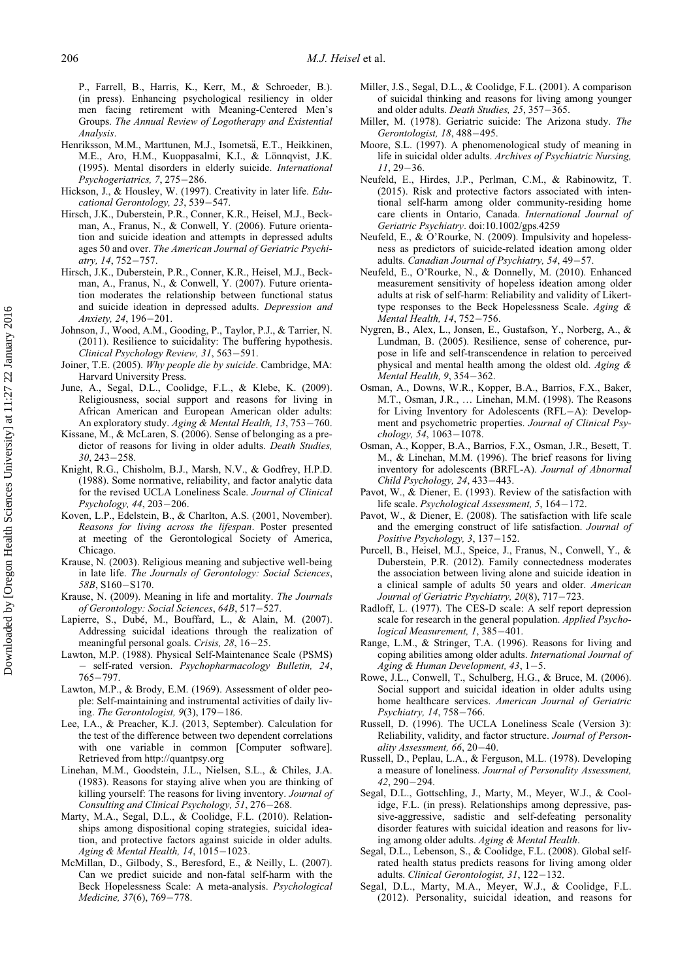<span id="page-12-19"></span>P., Farrell, B., Harris, K., Kerr, M., & Schroeder, B.). (in press). Enhancing psychological resiliency in older men facing retirement with Meaning-Centered Men's Groups. The Annual Review of Logotherapy and Existential Analysis.

- <span id="page-12-8"></span><span id="page-12-1"></span><span id="page-12-0"></span>Henriksson, M.M., Marttunen, M.J., Isometsä, E.T., Heikkinen, M.E., Aro, H.M., Kuoppasalmi, K.I., & Lönnqvist, J.K. (1995). Mental disorders in elderly suicide. International Psychogeriatrics, 7, 275-286.
- <span id="page-12-36"></span><span id="page-12-20"></span>Hickson, J., & Housley, W. (1997). Creativity in later life. Educational Gerontology, 23, 539-547.
- <span id="page-12-21"></span><span id="page-12-5"></span>Hirsch, J.K., Duberstein, P.R., Conner, K.R., Heisel, M.J., Beckman, A., Franus, N., & Conwell, Y. (2006). Future orientation and suicide ideation and attempts in depressed adults ages 50 and over. The American Journal of Geriatric Psychiatry, 14, 752-757.
- <span id="page-12-22"></span><span id="page-12-6"></span>Hirsch, J.K., Duberstein, P.R., Conner, K.R., Heisel, M.J., Beckman, A., Franus, N., & Conwell, Y. (2007). Future orientation moderates the relationship between functional status and suicide ideation in depressed adults. Depression and Anxiety, 24, 196-201.
- <span id="page-12-25"></span><span id="page-12-2"></span>Johnson, J., Wood, A.M., Gooding, P., Taylor, P.J., & Tarrier, N. (2011). Resilience to suicidality: The buffering hypothesis. Clinical Psychology Review, 31, 563-591.
- <span id="page-12-4"></span>Joiner, T.E. (2005). Why people die by suicide. Cambridge, MA: Harvard University Press.
- <span id="page-12-17"></span><span id="page-12-12"></span>June, A., Segal, D.L., Coolidge, F.L., & Klebe, K. (2009). Religiousness, social support and reasons for living in African American and European American older adults: An exploratory study. Aging & Mental Health, 13, 753-760.
- <span id="page-12-16"></span><span id="page-12-11"></span>Kissane, M., & McLaren, S. (2006). Sense of belonging as a predictor of reasons for living in older adults. Death Studies,  $30, 243 - 258.$
- <span id="page-12-30"></span><span id="page-12-29"></span>Knight, R.G., Chisholm, B.J., Marsh, N.V., & Godfrey, H.P.D. (1988). Some normative, reliability, and factor analytic data for the revised UCLA Loneliness Scale. Journal of Clinical Psychology,  $44, 203 - 206$ .
- <span id="page-12-31"></span><span id="page-12-18"></span>Koven, L.P., Edelstein, B., & Charlton, A.S. (2001, November). Reasons for living across the lifespan. Poster presented at meeting of the Gerontological Society of America, Chicago.
- <span id="page-12-35"></span><span id="page-12-23"></span>Krause, N. (2003). Religious meaning and subjective well-being in late life. The Journals of Gerontology: Social Sciences, 58B, S160-S170.
- <span id="page-12-26"></span><span id="page-12-24"></span>Krause, N. (2009). Meaning in life and mortality. The Journals of Gerontology: Social Sciences, 64B, 517-527.
- <span id="page-12-38"></span>Lapierre, S., Dubé, M., Bouffard, L., & Alain, M. (2007). Addressing suicidal ideations through the realization of meaningful personal goals. Crisis,  $28$ ,  $16-25$ .
- <span id="page-12-32"></span><span id="page-12-14"></span>Lawton, M.P. (1988). Physical Self-Maintenance Scale (PSMS) - self-rated version. Psychopharmacology Bulletin, 24,  $765 - 797.$
- <span id="page-12-37"></span><span id="page-12-33"></span>Lawton, M.P., & Brody, E.M. (1969). Assessment of older people: Self-maintaining and instrumental activities of daily living. The Gerontologist,  $9(3)$ ,  $179-186$ .
- <span id="page-12-34"></span><span id="page-12-27"></span>Lee, I.A., & Preacher, K.J. (2013, September). Calculation for the test of the difference between two dependent correlations with one variable in common [Computer software]. Retrieved from<http://quantpsy.org>
- <span id="page-12-28"></span><span id="page-12-9"></span><span id="page-12-7"></span>Linehan, M.M., Goodstein, J.L., Nielsen, S.L., & Chiles, J.A. (1983). Reasons for staying alive when you are thinking of killing yourself: The reasons for living inventory. Journal of Consulting and Clinical Psychology, 51, 276-268.
- <span id="page-12-13"></span>Marty, M.A., Segal, D.L., & Coolidge, F.L. (2010). Relationships among dispositional coping strategies, suicidal ideation, and protective factors against suicide in older adults. Aging & Mental Health,  $14$ ,  $1015-1023$ .
- <span id="page-12-15"></span><span id="page-12-10"></span><span id="page-12-3"></span>McMillan, D., Gilbody, S., Beresford, E., & Neilly, L. (2007). Can we predict suicide and non-fatal self-harm with the Beck Hopelessness Scale: A meta-analysis. Psychological Medicine, 37(6), 769-778.
- Miller, J.S., Segal, D.L., & Coolidge, F.L. (2001). A comparison of suicidal thinking and reasons for living among younger and older adults. Death Studies, 25, 357-365.
- Miller, M. (1978). Geriatric suicide: The Arizona study. The Gerontologist, 18, 488-495.
- Moore, S.L. (1997). A phenomenological study of meaning in life in suicidal older adults. Archives of Psychiatric Nursing,  $11, 29 - 36$
- Neufeld, E., Hirdes, J.P., Perlman, C.M., & Rabinowitz, T. (2015). Risk and protective factors associated with intentional self-harm among older community-residing home care clients in Ontario, Canada. International Journal of Geriatric Psychiatry. doi:[10.1002/gps.4259](http://dx.doi.org/10.1002/gps.4259)
- Neufeld, E., & O'Rourke, N. (2009). Impulsivity and hopelessness as predictors of suicide-related ideation among older adults. Canadian Journal of Psychiatry, 54, 49-57.
- Neufeld, E., O'Rourke, N., & Donnelly, M. (2010). Enhanced measurement sensitivity of hopeless ideation among older adults at risk of self-harm: Reliability and validity of Likerttype responses to the Beck Hopelessness Scale. Aging & Mental Health, 14, 752-756.
- Nygren, B., Alex, L., Jonsen, E., Gustafson, Y., Norberg, A., & Lundman, B. (2005). Resilience, sense of coherence, purpose in life and self-transcendence in relation to perceived physical and mental health among the oldest old. Aging & Mental Health, 9, 354-362.
- Osman, A., Downs, W.R., Kopper, B.A., Barrios, F.X., Baker, M.T., Osman, J.R., … Linehan, M.M. (1998). The Reasons for Living Inventory for Adolescents (RFL-A): Development and psychometric properties. Journal of Clinical Psy $chology, 54, 1063-1078.$
- Osman, A., Kopper, B.A., Barrios, F.X., Osman, J.R., Besett, T. M., & Linehan, M.M. (1996). The brief reasons for living inventory for adolescents (BRFL-A). Journal of Abnormal Child Psychology, 24, 433-443.
- Pavot, W., & Diener, E. (1993). Review of the satisfaction with life scale. Psychological Assessment, 5,  $164-172$ .
- Pavot, W., & Diener, E. (2008). The satisfaction with life scale and the emerging construct of life satisfaction. Journal of Positive Psychology, 3, 137-152.
- Purcell, B., Heisel, M.J., Speice, J., Franus, N., Conwell, Y., & Duberstein, P.R. (2012). Family connectedness moderates the association between living alone and suicide ideation in a clinical sample of adults 50 years and older. American Journal of Geriatric Psychiatry, 20(8), 717-723.
- Radloff, L. (1977). The CES-D scale: A self report depression scale for research in the general population. Applied Psychological Measurement, 1, 385-401.
- Range, L.M., & Stringer, T.A. (1996). Reasons for living and coping abilities among older adults. International Journal of Aging & Human Development, 43,  $1-5$ .
- Rowe, J.L., Conwell, T., Schulberg, H.G., & Bruce, M. (2006). Social support and suicidal ideation in older adults using home healthcare services. American Journal of Geriatric Psychiatry, 14, 758-766.
- Russell, D. (1996). The UCLA Loneliness Scale (Version 3): Reliability, validity, and factor structure. Journal of Personality Assessment,  $66, 20-40$ .
- Russell, D., Peplau, L.A., & Ferguson, M.L. (1978). Developing a measure of loneliness. Journal of Personality Assessment, 42, 290-294.
- Segal, D.L., Gottschling, J., Marty, M., Meyer, W.J., & Coolidge, F.L. (in press). Relationships among depressive, passive-aggressive, sadistic and self-defeating personality disorder features with suicidal ideation and reasons for living among older adults. Aging & Mental Health.
- Segal, D.L., Lebenson, S., & Coolidge, F.L. (2008). Global selfrated health status predicts reasons for living among older adults. Clinical Gerontologist,  $31, 122-132$ .
- Segal, D.L., Marty, M.A., Meyer, W.J., & Coolidge, F.L. (2012). Personality, suicidal ideation, and reasons for